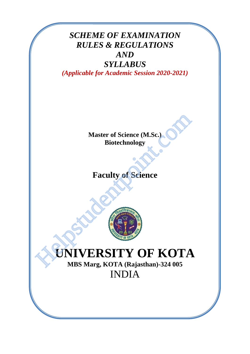# *SCHEME OF EXAMINATION RULES & REGULATIONS AND*

# *SYLLABUS (Applicable for Academic Session 2020-2021)*

**Master of Science (M.Sc.) Biotechnology**

# **Faculty of Science**



# **UNIVERSITY OF KOTA** Master of Science (M.Sc.)<br>
Biotechnology<br>
Faculty of Science<br>
Faculty of Science<br>
MBS Marg, KOTA (Rajasthan)-324 005

**MBS Marg, KOTA (Rajasthan)-324 005** INDIA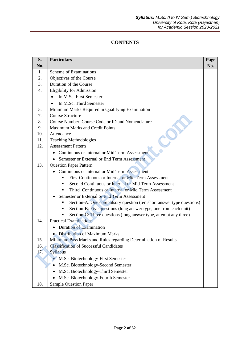## **CONTENTS**

| S.  | <b>Particulars</b>                                                        | Page |
|-----|---------------------------------------------------------------------------|------|
| No. |                                                                           | No.  |
| 1.  | Scheme of Examinations                                                    |      |
| 2.  | Objectives of the Course                                                  |      |
| 3.  | Duration of the Course                                                    |      |
| 4.  | Eligibility for Admission                                                 |      |
|     | In M.Sc. First Semester<br>$\bullet$                                      |      |
|     | In M.Sc. Third Semester                                                   |      |
| 5.  | Minimum Marks Required in Qualifying Examination                          |      |
| 7.  | <b>Course Structure</b>                                                   |      |
| 8.  | Course Number, Course Code or ID and Nomenclature                         |      |
| 9.  | Maximum Marks and Credit Points                                           |      |
| 10. | Attendance                                                                |      |
| 11. | <b>Teaching Methodologies</b>                                             |      |
| 12. | <b>Assessment Pattern</b>                                                 |      |
|     | • Continuous or Internal or Mid Term Assessment                           |      |
|     | Semester or External or End Term Assessment                               |      |
| 13. | <b>Question Paper Pattern</b>                                             |      |
|     | Continuous or Internal or Mid Term Assessment                             |      |
|     | First Continuous or Internal or Mid Term Assessment<br>٠                  |      |
|     | Second Continuous or Internal or Mid Term Assessment<br>٠                 |      |
|     | Third Continuous or Internal or Mid Term Assessment<br>٠                  |      |
|     | Semester or External or End Term Assessment                               |      |
|     | Section-A: One compulsory question (ten short answer type questions)<br>٠ |      |
|     | Section-B: Five questions (long answer type, one from each unit)<br>٠     |      |
|     | Section-C: Three questions (long answer type, attempt any three)<br>٠     |      |
| 14. | <b>Practical Examinations</b>                                             |      |
|     | <b>Duration of Examination</b>                                            |      |
|     | Distribution of Maximum Marks                                             |      |
| 15. | Minimum Pass Marks and Rules regarding Determination of Results           |      |
| 16. | <b>Classification of Successful Candidates</b>                            |      |
| 17. | Syllabus                                                                  |      |
|     | M.Sc. Biotechnology-First Semester                                        |      |
|     | M.Sc. Biotechnology-Second Semester                                       |      |
|     | M.Sc. Biotechnology-Third Semester                                        |      |
|     | M.Sc. Biotechnology-Fourth Semester                                       |      |
| 18. | <b>Sample Question Paper</b>                                              |      |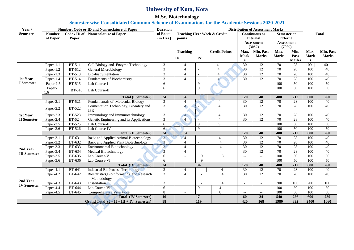# **University of Kota, Kota**

## **M.Sc. Biotechnology**

**Semester wise Consolidated Common Scheme of Examinations for the Academic Sessions 2020-2021**

| Year /              | Number, Code or ID and Nomenclature of Paper<br><b>Distribution of Assessment Marks</b><br><b>Duration</b> |               |                                             |                 |                 |                          |                              |                                               |                          |                   |                  |              |                 |
|---------------------|------------------------------------------------------------------------------------------------------------|---------------|---------------------------------------------|-----------------|-----------------|--------------------------|------------------------------|-----------------------------------------------|--------------------------|-------------------|------------------|--------------|-----------------|
| <b>Semester</b>     | <b>Number</b>                                                                                              | Code / ID of  | <b>Nomenclature of Paper</b>                | of Exam.        |                 |                          | Teaching Hrs / Week & Credit | <b>Continuous or</b><br>Semester or           |                          |                   | <b>Total</b>     |              |                 |
|                     | of Paper                                                                                                   | Paper         |                                             | (in Hrs.)       | points          |                          | <b>Internal</b>              |                                               | <b>External</b>          |                   |                  |              |                 |
|                     |                                                                                                            |               |                                             |                 |                 |                          |                              |                                               | Assessment               | <b>Assessment</b> |                  |              |                 |
|                     |                                                                                                            |               |                                             |                 |                 |                          |                              |                                               | (30%)                    | (70%)             |                  |              |                 |
|                     |                                                                                                            |               |                                             |                 | <b>Teaching</b> |                          | <b>Credit Points</b>         | Max.                                          | Min. Pass                | Max.              | Min.             | Max.         | Min. Pass       |
|                     |                                                                                                            |               |                                             |                 | Th.             | Pr.                      |                              | <b>Mark</b>                                   | <b>Marks</b>             | <b>Marks</b>      | Pass             | <b>Mark</b>  | <b>Marks</b>    |
|                     |                                                                                                            |               |                                             |                 |                 |                          |                              | S                                             |                          |                   | <b>Marks</b>     | $\mathbf{s}$ |                 |
|                     | Paper-1.1                                                                                                  | <b>BT-511</b> | Cell Biology and Enzyme Technology          | $\mathfrak{Z}$  | $\overline{4}$  |                          | $\overline{4}$               | 30                                            | 12                       | 70                | 28               | 100          | 40              |
|                     | Paper-1.2                                                                                                  | BT-512        | General Microbiology                        | $\overline{3}$  | $\overline{4}$  | $\sim$                   | $\overline{4}$               | 30                                            | 12                       | $\overline{70}$   | $\overline{28}$  | 100          | 40              |
|                     | Paper-1.3                                                                                                  | <b>BT-513</b> | Bio-Instrumentation                         | $\overline{3}$  | $\overline{4}$  |                          | $\overline{4}$               | $\overline{30}$                               | 12                       | 70                | 28               | 100          | 40              |
| 1st Year            | Paper-1.4                                                                                                  | <b>BT-514</b> | <b>Fundaments of Biochemistry</b>           | $\mathfrak{Z}$  | $\overline{4}$  |                          | $\overline{4}$               | $\overline{30}$                               | $\overline{12}$          | 70                | 28               | 100          | $\overline{40}$ |
| <b>I</b> Semester   | Paper-1.5                                                                                                  | BT-515        | Lab Course-I                                | 6               | $\overline{a}$  | $\mathbf{Q}$             | $\overline{9}$               | $-$                                           | $-$                      | 100               | $\overline{50}$  | 100          | 50              |
|                     | Paper-<br>1.6                                                                                              | BT-516        | Lab Course-II                               | 6               |                 | $\mathbf Q$              |                              |                                               |                          | 100               | 50               | 100          | 50              |
|                     |                                                                                                            |               | <b>Total (I Semester)</b>                   | 24              | 34              |                          |                              | 120                                           | 48                       | 480               | 212              | 600          | 260             |
|                     | Paper-2.1                                                                                                  | <b>BT-521</b> | Fundamentals of Molecular Biology           | $\mathfrak{Z}$  | $\overline{4}$  | $\sim$                   | $\overline{\mathcal{A}}$     | 30                                            | 12                       | $\overline{70}$   | $\overline{28}$  | 100          | 40              |
|                     |                                                                                                            |               | Fermentation Technology, Biosafety and      | $\overline{3}$  | $\overline{4}$  | $\overline{a}$           | $\overline{4}$               | 30                                            | 12                       | 70                | 28               | 100          | 40              |
|                     | Paper-2.2                                                                                                  | <b>BT-522</b> | <b>IPR</b>                                  |                 |                 |                          |                              |                                               |                          |                   |                  |              |                 |
| 1st Year            | Paper-2.3                                                                                                  | <b>BT-523</b> | Immunology and Immunotechnology             | $\mathfrak{Z}$  | $\overline{4}$  | 소                        | $\overline{4}$               | 30                                            | 12                       | 70                | 28               | 100          | 40              |
| <b>II</b> Semester  | Paper-2.4                                                                                                  | <b>BT-524</b> | Genetic Engineering and its Applications    | $\overline{3}$  | $\overline{4}$  |                          | $\overline{4}$               | 30                                            | 12                       | 70                | 28               | 100          | $\overline{40}$ |
|                     | Paper-2.5                                                                                                  | <b>BT-525</b> | Lab Course-III                              | 6               |                 | 9                        | 9                            |                                               |                          | 100               | $\overline{50}$  | 100          | 50              |
|                     | Paper-2.6                                                                                                  | BT-526        | Lab Course-IV                               | 6               |                 | $\mathbf{Q}$             |                              |                                               |                          | 100               | 50               | 100          | 50              |
|                     |                                                                                                            |               | <b>Total (II Semester)</b>                  | $\overline{24}$ | 34              |                          |                              | <b>120</b>                                    | 48                       | 480               | $\overline{212}$ | 600          | 260             |
|                     | Paper-3.1                                                                                                  | <b>BT-631</b> | Basic and Applied Animal Biotechnology      | $\overline{3}$  | $\overline{4}$  | $\overline{\phantom{a}}$ | $\overline{4}$               | 30                                            | 12                       | 70                | 28               | 100          | 40              |
|                     | Paper-3.2                                                                                                  | BT-632        | Basic and Applied Plant Biotechnology       | $\overline{3}$  | $\overline{4}$  |                          | $\overline{4}$               | 30                                            | 12                       | 70                | $\overline{28}$  | 100          | 40              |
|                     | Paper-3.3                                                                                                  | BT-633        | <b>Environmental Biotechnology</b>          | $\overline{3}$  | $\overline{4}$  |                          | $\overline{4}$               | $\overline{30}$                               | $\overline{12}$          | 70                | 28               | 100          | 40              |
| 2nd Year            | Paper-3.4                                                                                                  | BT-634        | Medical Biotechnology                       | $\overline{3}$  | $\overline{4}$  |                          | $\overline{4}$               | $\overline{30}$                               | 12                       | $\overline{70}$   | 28               | 100          | 40              |
| <b>III</b> Semester | Paper-3.5                                                                                                  | BT-635        | Lab Course-V                                | 6               | $\overline{a}$  | 9                        | 8                            | $\mathord{\hspace{1pt}\text{--}\hspace{1pt}}$ | $\overline{\phantom{a}}$ | 100               | 50               | 100          | 50              |
|                     | Paper-3.6                                                                                                  | BT-636        | Lab Course-VI                               | 6               |                 | 9                        |                              |                                               |                          | 100               | $\overline{50}$  | 100          | 50              |
|                     |                                                                                                            |               | <b>Total (III Semester)</b>                 | $\overline{24}$ |                 | 34                       |                              | 120                                           | 48                       | 480               | 212              | 600          | 260             |
|                     | Paper-4.1                                                                                                  | <b>BT-641</b> | <b>Industrial BioProcess Technology</b>     | $\mathfrak{Z}$  | $\overline{4}$  | $\sim$                   | $\overline{4}$               | 30                                            | 12                       | 70                | $28\,$           | 100          | 40              |
|                     | Paper-4.2                                                                                                  | <b>BT-642</b> | Biostatistics, Bioinformatics and Research  | $\overline{3}$  | $\overline{4}$  |                          | $\overline{4}$               | $\overline{30}$                               | 12                       | $\overline{70}$   | 28               | 100          | 40              |
| 2nd Year            |                                                                                                            |               | Methodology                                 |                 |                 |                          |                              |                                               |                          |                   |                  |              |                 |
|                     | Paper-4.3                                                                                                  | BT-643        | Dissertation                                | $\mathfrak{Z}$  |                 |                          | $\overline{4}$               | $\overline{\phantom{a}}$                      |                          | 200               | 100              | 200          | 100             |
| <b>IV Semester</b>  | Paper-4.4                                                                                                  | <b>BT-644</b> | Lab Course-VII                              | 6               |                 | 9                        | $\overline{4}$               | $\overline{\phantom{a}}$                      |                          | 100               | $\overline{50}$  | 100          | 50              |
|                     | Paper-4.5                                                                                                  | BT-645        | Comprehensive Viva Voce                     | $\,8\,$         | $\sim$          |                          | 8                            | $\overline{\phantom{a}}$                      | $\mathbf{u}$             | 100               | $\overline{50}$  | 100          | 50              |
|                     |                                                                                                            |               | <b>Total (IV Semester)</b>                  | 16              |                 | ${\bf 17}$               |                              | 60                                            | 24                       | 540               | 256              | 600          | 280             |
|                     |                                                                                                            |               | Grand Total $(I + II + III + IV)$ Semester) | 88              |                 | 119                      |                              | 420                                           | 168                      | 1980              | $\overline{892}$ | 2400         | 1060            |
|                     |                                                                                                            |               |                                             |                 |                 |                          |                              |                                               |                          |                   |                  |              |                 |
|                     |                                                                                                            |               |                                             |                 |                 |                          |                              |                                               |                          |                   |                  |              |                 |
|                     |                                                                                                            |               |                                             |                 |                 |                          |                              |                                               |                          |                   |                  |              |                 |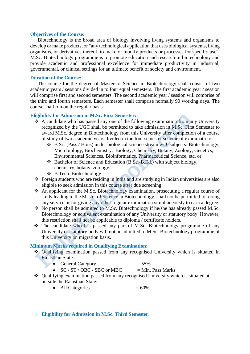#### **Objectives of the Course:**

Biotechnology is the broad area of biology involving living systems and organisms to develop or make products, or "any technological application that uses biological systems, living organisms, or derivatives thereof, to make or modify products or processes for specific use". M.Sc. Biotechnology programme is to promote education and research in biotechnology and provide academic and professional excellence for immediate productivity in industrial, governmental, or clinical settings for an ultimate benefit of society and environment.

#### **Duration of the Course:**

The course for the degree of Master of Science in Biotechnology shall consist of two academic years / sessions divided in to four equal semesters. The first academic year / session will comprise first and second semesters. The second academic year / session will comprise of the third and fourth semesters. Each semester shall comprise normally 90 working days. The course shall run on the regular basis.

#### **Eligibility for Admission in M.Sc. First Semester:**

- ❖ A candidate who has passed any one of the following examination from any University recognized by the UGC shall be permitted to take admission in M.Sc. First Semester to award M.Sc. degree in Biotechnology from this University after completion of a course of study of two academic years divided in the four semester scheme of examination: **Example 1991**<br> **Example 1991**<br> **Example 1991**<br> **A** candidate who has passed any one of the following examination from a recognized by the UGC shall be permitted to take admission in M.Sc. First award M.Sc. degree in Biot
	- ❖ B.Sc. (Pass / Hons) under biological science stream with subjects: Biotechnology, Microbiology, Biochemistry, Biology, Chemistry, Botany, Zoology, Genetics, Environmental Sciences, Bioinformatics, Pharmaceutical Science, etc. or
	- ❖ Bachelor of Science and Education (B.Sc.-B.Ed.) with subject biology, chemistry, botany, zoology.
	- ❖ B.Tech. Biotechnology
- ❖ Foreign students who are residing in India and are studying in Indian universities are also eligible to seek admission in this course after due screening.
- ❖ An applicant for the M.Sc. Biotechnology examination, prosecuting a regular course of study leading to the Master of Science in Biotechnology, shall not be permitted for doing any service or for giving any other regular examination simultaneously to earn a degree.
- ❖ No person shall be admitted to M.Sc. Biotechnology if he/she has already passed M.Sc. Biotechnology or equivalent examination of any University or statutory body. However, this restriction shall not be applicable to diploma / certificate holders.
- ❖ The candidate who has passed any part of M.Sc. Biotechnology programme of any University or statutory body will not be admitted to M.Sc. Biotechnology programme of this University on migration basis.

#### **Minimum Marks required in Qualifying Examination:**

- ❖ Qualifying examination passed from any recognised University which is situated in Rajasthan State:
	- General Category  $= 55\%$ .
	- $SC / ST / OBC / SBC$  or MBC  $= Min$ . Pass Marks
- ❖ Qualifying examination passed from any recognised University which is situated at outside the Rajasthan State:
	- All Categories  $= 60\%$ .
- ❖ **Eligibility for Admission in M.Sc. Third Semester:**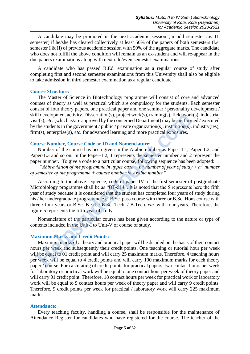A candidate may be promoted in the next academic session (in odd semester *i.e.* III semester) if he/she has cleared collectively at least 50% of the papers of both semesters (*i.e.* semester I & II) of previous academic session with 50% of the aggregate marks. The candidate who does not fulfill the above condition will remain as an ex-student and will re-appear in the due papers examinations along with next odd/even semester examinations.

A candidate who has passed B.Ed. examination as a regular course of study after completing first and second semester examinations from this University shall also be eligible to take admission in third semester examination as a regular candidate.

#### **Course Structure:**

The Master of Science in Biotechnology programme will consist of core and advanced courses of theory as well as practical which are compulsory for the students. Each semester consist of four theory papers, one practical paper and one seminar / personality development / skill development activity. Dissertation(s), project work(s), training(s), field work(s), industrial visit(s), *etc.* (which is/are approved by the concerned Department) may be performed / executed by the students in the government / public / private organization(s), institution(s), industry(ies), firm(s), enterprise(s), *etc.* for advanced learning and more practical exposures.

## **Course Number, Course Code or ID and Nomenclature:**

Number of the course has been given in the Arabic number as Paper-1.1, Paper-1.2, and Paper-1.3 and so on. In the Paper-1.2, 1 represents the semester number and 2 represent the paper number. To give a code to a particular course, following sequence has been adopted:

"*Abbreviation of the programme in upper case*  $+ n<sup>th</sup>$  *number of year of study*  $+ n<sup>th</sup>$  *number of semester of the programme + course number in Arabic number"* 

According to the above sequence, code of paper-IV of the first semester of postgraduate Microbiology programme shall be as "BT-514". It is noted that the 5 represents here the fifth year of study because it is considered that the student has completed four years of study during his / her undergraduate programme *e.g.* B.Sc. pass course with three or B.Sc. Hons course with three / four years or B.Sc.-B.Ed. / B.Sc.-Tech. / B.Tech. *etc.* with four years. Therefore, the figure 5 represents the fifth year of study. ill development activity. Dissertation(s), project work(s), training(s), field work<br>sit(s), *etc.* (which is/are approved by the concerned Department() may be performed<br>the students in the government / public / private or

Nomenclature of the particular course has been given according to the nature or type of contents included in the Unit-I to Unit-V of course of study.

## **Maximum Marks and Credit Points:**

Maximum marks of a theory and practical paper will be decided on the basis of their contact hours per week and subsequently their credit points. One teaching or tutorial hour per week will be equal to 01 credit point and will carry 25 maximum marks. Therefore, 4 teaching hours per week will be equal to 4 credit points and will carry 100 maximum marks for each theory paper / course. For calculating of credit points for practical papers, two contact hours per week for laboratory or practical work will be equal to one contact hour per week of theory paper and will carry 01 credit point. Therefore, 18 contact hours per week for practical work or laboratory work will be equal to 9 contact hours per week of theory paper and will carry 9 credit points. Therefore, 9 credit points per week for practical / laboratory work will carry 225 maximum marks.

## **Attendance:**

Every teaching faculty, handling a course, shall be responsible for the maintenance of Attendance Register for candidates who have registered for the course. The teacher of the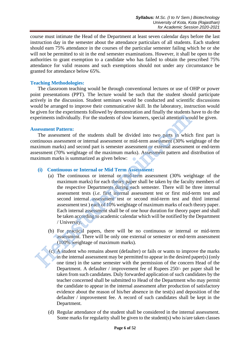course must intimate the Head of the Department at least seven calendar days before the last instruction day in the semester about the attendance particulars of all students. Each student should earn 75% attendance in the courses of the particular semester failing which he or she will not be permitted to sit in the end semester examinations. However, it shall be open to the authorities to grant exemption to a candidate who has failed to obtain the prescribed 75% attendance for valid reasons and such exemptions should not under any circumstance be granted for attendance below 65%.

## **Teaching Methodologies:**

The classroom teaching would be through conventional lectures or use of OHP or power point presentations (PPT). The lecture would be such that the student should participate actively in the discussion. Student seminars would be conducted and scientific discussions would be arranged to improve their communicative skill. In the laboratory, instruction would be given for the experiments followed by demonstration and finally the students have to do the experiments individually. For the students of slow learners, special attention would be given.

## **Assessment Pattern:**

The assessment of the students shall be divided into two parts in which first part is continuous assessment or internal assessment or mid-term assessment (30% weightage of the maximum marks) and second part is semester assessment or external assessment or end-term assessment (70% weightage of the maximum marks). Assessment pattern and distribution of maximum marks is summarized as given below:

## **(i) Continuous or Internal or Mid Term Assessment:**

- (a) The continuous or internal or mid-term assessment (30% weightage of the maximum marks) for each theory paper shall be taken by the faculty members of the respective Departments during each semester. There will be three internal assessment tests (*i.e.* first internal assessment test or first mid-term test and second internal assessment test or second mid-term test and third internal assessment test ) each of 10% weightage of maximum marks of each theory paper. Each internal assessment shall be of one hour duration for theory paper and shall be taken according to academic calendar which will be notified by the Department / University. periments individually. For the students of slow learners, special attention works<br>sessment Pattern:<br>The assessment of the students shall be divided into two parts in which<br>trinuous assessment or internal assessment or mi
	- (b) For practical papers, there will be no continuous or internal or mid-term assessment. There will be only one external or semester or end-term assessment (100% weightage of maximum marks).
	- (c) A student who remains absent (defaulter) or fails or wants to improve the marks in the internal assessment may be permitted to appear in the desired paper(s) (only one time) in the same semester with the permission of the concern Head of the Department. A defaulter / improvement fee of Rupees 250/- per paper shall be taken from such candidates. Duly forwarded application of such candidates by the teacher concerned shall be submitted to Head of the Department who may permit the candidate to appear in the internal assessment after production of satisfactory evidence about the reason of his/her absence in the test(s) and deposition of the defaulter / improvement fee. A record of such candidates shall be kept in the Department.
	- (d) Regular attendance of the student shall be considered in the internal assessment. Some marks for regularity shall be given to the student(s) who is/are taken classes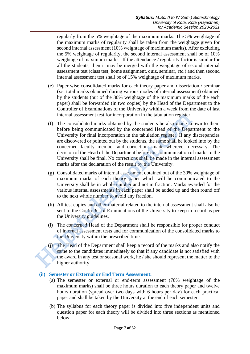regularly from the 5% weightage of the maximum marks. The 5% weightage of the maximum marks of regularity shall be taken from the weightage given for second internal assessment (10% weightage of maximum marks). After excluding the 5% weightage of regularity, the second internal assessment shall be of 10% weightage of maximum marks. If the attendance / regularity factor is similar for all the students, then it may be merged with the weightage of second internal assessment test (class test, home assignment, quiz, seminar, *etc.*) and then second internal assessment test shall be of 15% weightage of maximum marks.

- (e) Paper wise consolidated marks for each theory paper and dissertation / seminar (*i.e.* total marks obtained during various modes of internal assessment) obtained by the students (out of the 30% weightage of the maximum marks of the each paper) shall be forwarded (in two copies) by the Head of the Department to the Controller of Examinations of the University within a week from the date of last internal assessment test for incorporation in the tabulation register.
- (f) The consolidated marks obtained by the students be also made known to them before being communicated by the concerned Head of the Department to the University for final incorporation in the tabulation register. If any discrepancies are discovered or pointed out by the students, the same shall be looked into by the concerned faculty member and corrections made wherever necessary. The decision of the Head of the Department before the communication of marks to the University shall be final. No corrections shall be made in the internal assessment marks after the declaration of the result by the University. internal assessment test for incorporation in the tabulation register.<br>
(f) The consolidated marks obtained by the students be also made kt<br>
before being communicated by the concerned Head of the Depar<br>
University for fina
	- (g) Consolidated marks of internal assessment obtained out of the 30% weightage of maximum marks of each theory paper which will be communicated to the University shall be in whole number and not in fraction. Marks awarded for the various internal assessments in each paper shall be added up and then round off to the next whole number to avoid any fraction.
	- (h) All test copies and other material related to the internal assessment shall also be sent to the Controller of Examinations of the University to keep in record as per the University guidelines.
	- (i) The concerned Head of the Department shall be responsible for proper conduct of internal assessment tests and for communication of the consolidated marks to the University within the prescribed time.
	- (j) The Head of the Department shall keep a record of the marks and also notify the same to the candidates immediately so that if any candidate is not satisfied with the award in any test or seasonal work, he / she should represent the matter to the higher authority.

## **(ii) Semester or External or End Term Assessment:**

- (a) The semester or external or end-term assessment (70% weightage of the maximum marks) shall be three hours duration to each theory paper and twelve hours duration (spread over two days with 6 hours per day) for each practical paper and shall be taken by the University at the end of each semester.
- (b) The syllabus for each theory paper is divided into five independent units and question paper for each theory will be divided into three sections as mentioned below: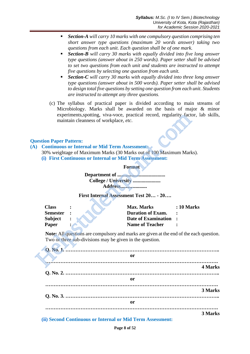- *Section-A will carry 10 marks with one compulsory question comprising ten short answer type questions (maximum 20 words answer) taking two questions from each unit. Each question shall be of one mark.*
- **Section-B** will carry 30 marks with equally divided into five long answer *type questions (answer about in 250 words). Paper setter shall be advised to set two questions from each unit and students are instructed to attempt five questions by selecting one question from each unit.*
- **Section-C** will carry 30 marks with equally divided into three long answer *type questions (answer about in 500 words). Paper setter shall be advised to design total five questions by setting one question from each unit. Students are instructed to attempt any three questions.*
- (c) The syllabus of practical paper is divided according to main streams of Microbiology. Marks shall be awarded on the basis of major & minor experiments,spotting, viva-voce, practical record, regularity factor, lab skills, maintain cleanness of workplace, *etc*.

## **Question Paper Pattern:**

- **(A) Continuous or Internal or Mid Term Assessment:** 
	- 30% weightage of Maximum Marks (30 Marks out of 100 Maximum Marks).
	- **(i) First Continuous or Internal or Mid Term Assessment:**

| Address |  |
|---------|--|

#### **First Internal Assessment Test 20… - 20….**

|           |                               |                                                       | experiments, spotting, viva-voce, practical record, regularity factor, l             |                   |
|-----------|-------------------------------|-------------------------------------------------------|--------------------------------------------------------------------------------------|-------------------|
|           |                               | maintain cleanness of workplace, etc.                 |                                                                                      |                   |
|           | <b>uestion Paper Pattern:</b> |                                                       |                                                                                      |                   |
| $\lambda$ |                               | <b>Continuous or Internal or Mid Term Assessment:</b> |                                                                                      |                   |
|           |                               |                                                       | 30% weightage of Maximum Marks (30 Marks out of 100 Maximum Marks).                  |                   |
|           |                               |                                                       | (i) First Continuous or Internal or Mid Term Assessment:                             |                   |
|           |                               |                                                       | <b>Format</b>                                                                        |                   |
|           |                               |                                                       |                                                                                      |                   |
|           |                               |                                                       | College / University                                                                 |                   |
|           |                               |                                                       | Address                                                                              |                   |
|           |                               |                                                       |                                                                                      |                   |
|           |                               |                                                       | First Internal Assessment Test 20 - 20                                               |                   |
|           | <b>Class</b>                  |                                                       | <b>Max. Marks</b>                                                                    | <b>: 10 Marks</b> |
|           | <b>Semester</b>               |                                                       | <b>Duration of Exam.</b>                                                             |                   |
|           | <b>Subject</b>                |                                                       | <b>Date of Examination</b>                                                           |                   |
|           | Paper                         |                                                       | <b>Name of Teacher</b>                                                               |                   |
|           |                               |                                                       | <b>Note:</b> All questions are compulsory and marks are given at the end of the each |                   |
|           |                               |                                                       | Two or three sub-divisions may be given in the question.                             |                   |
|           |                               |                                                       |                                                                                      |                   |
|           |                               |                                                       | <b>or</b>                                                                            |                   |
|           |                               |                                                       |                                                                                      |                   |
|           |                               |                                                       |                                                                                      |                   |

**Note:** All questions are compulsory and marks are given at the end of the each question. Two or three sub-divisions may be given in the question.

| or |         |
|----|---------|
|    | 4 Marks |
|    |         |
| or |         |
|    |         |
|    | 3 Marks |
|    |         |
| or |         |
|    |         |
|    | 3 Marks |

**(ii) Second Continuous or Internal or Mid Term Assessment:**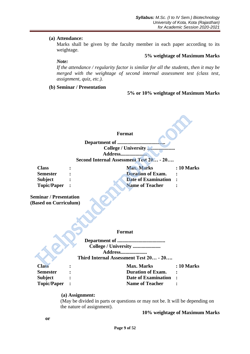#### **(a) Attendance:**

Marks shall be given by the faculty member in each paper according to its weightage.

#### **5% weightage of Maximum Marks**

*Note:* 

*If the attendance / regularity factor is similar for all the students, then it may be merged with the weightage of second internal assessment test (class test, assignment, quiz, etc.).*

**(b) Seminar / Presentation**

#### **5% or 10% weightage of Maximum Marks**

#### **Format**

|                                             | <b>Format</b>                                                                    |                   |
|---------------------------------------------|----------------------------------------------------------------------------------|-------------------|
|                                             | Department of                                                                    |                   |
|                                             |                                                                                  |                   |
|                                             | <b>Address</b>                                                                   |                   |
|                                             | Second Internal Assessment Test 20 - 20                                          |                   |
| <b>Class</b>                                | <b>Max. Marks</b>                                                                | <b>: 10 Marks</b> |
| <b>Semester</b>                             | <b>Duration of Exam.</b>                                                         |                   |
| <b>Subject</b>                              | <b>Date of Examination</b>                                                       |                   |
| <b>Topic/Paper</b>                          | <b>Name of Teacher</b>                                                           |                   |
| minar / Presentation<br>ased on Curriculum) |                                                                                  |                   |
|                                             | Format                                                                           |                   |
|                                             |                                                                                  |                   |
|                                             | College / University<br><b>Address</b><br>Third Internal Assessment Test 20 - 20 |                   |
| <b>Class</b>                                | <b>Max. Marks</b>                                                                | : 10 Marks        |

**Seminar / Presentation (Based on Curriculum)**

#### **Format**

**Class : Max. Marks : 10 Marks**

**Semester : Duration of Exam. : Subject : Date of Examination : Topic/Paper : Name of Teacher :**

## **(a) Assignment:**

(May be divided in parts or questions or may not be. It will be depending on the nature of assignment).

#### **10% weightage of Maximum Marks**

**or**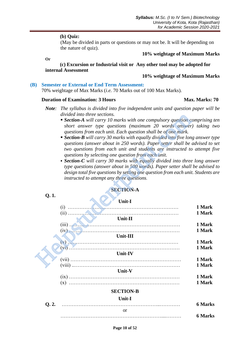#### **(b) Quiz:**

(May be divided in parts or questions or may not be. It will be depending on the nature of quiz).

**10% weightage of Maximum Marks** 

**Or**

**(c) Excursion or Industrial visit or Any other tool may be adopted for internal Assessment**

# **10% weightage of Maximum Marks**

#### **(B) Semester or External or End Term Assessment:**

70% weightage of Max Marks (*i.e.* 70 Marks out of 100 Max Marks).

#### **Duration of Examination: 3 Hours Max. Marks: 70**

- *Note: The syllabus is divided into five independent units and question paper will be divided into three sections.* 
	- **Section-A** will carry 10 marks with one compulsory question comprising ten *short answer type questions (maximum 20 words answer) taking two questions from each unit. Each question shall be of one mark.*
	- **Section-B** will carry 30 marks with equally divided into five long answer type *questions (answer about in 250 words). Paper setter shall be advised to set two questions from each unit and students are instructed to attempt five questions by selecting one question from each unit.*
	- *Section-C will carry 30 marks with equally divided into three long answer type questions (answer about in 500 words). Paper setter shall be advised to design total five questions by setting one question from each unit. Students are instructed to attempt any three questions.*

#### **SECTION-A**

# $\blacksquare$

|       | divided into three sections.                                                                                                                        |                  |
|-------|-----------------------------------------------------------------------------------------------------------------------------------------------------|------------------|
|       | ■ Section-A will carry 10 marks with one compulsory question comprising to                                                                          |                  |
|       | short answer type questions (maximum 20 words answer) taking tv                                                                                     |                  |
|       | questions from each unit. Each question shall be of one mark.<br><b>Section-B</b> will carry 30 marks with equally divided into five long answer ty |                  |
|       | questions (answer about in 250 words). Paper setter shall be advised to s                                                                           |                  |
|       | two questions from each unit and students are instructed to attempt fi                                                                              |                  |
|       | questions by selecting one question from each unit.                                                                                                 |                  |
|       | • Section-C will carry 30 marks with equally divided into three long answ                                                                           |                  |
|       | type questions (answer about in 500 words). Paper setter shall be advised                                                                           |                  |
|       | design total five questions by setting one question from each unit. Students a<br>instructed to attempt any three questions.                        |                  |
|       |                                                                                                                                                     |                  |
|       | <b>SECTION-A</b>                                                                                                                                    |                  |
| Q.1.  |                                                                                                                                                     |                  |
|       | Unit-I                                                                                                                                              |                  |
|       |                                                                                                                                                     | 1 Mark<br>1 Mark |
|       | Unit-II                                                                                                                                             |                  |
|       | $(iii)$ . $\ldots$ . $\ldots$ . $\ldots$ . $\ldots$ . $\ldots$ . $\ldots$ . $\ldots$ . $\ldots$ . $\ldots$ . $\ldots$                               | 1 Mark           |
|       |                                                                                                                                                     | 1 Mark           |
|       | Unit-III                                                                                                                                            |                  |
|       |                                                                                                                                                     | 1 Mark<br>1 Mark |
|       | Unit-IV                                                                                                                                             |                  |
|       |                                                                                                                                                     | 1 Mark           |
|       |                                                                                                                                                     | 1 Mark           |
|       | Unit-V                                                                                                                                              |                  |
|       |                                                                                                                                                     | 1 Mark<br>1 Mark |
|       |                                                                                                                                                     |                  |
|       | <b>SECTION-B</b>                                                                                                                                    |                  |
|       | Unit-I                                                                                                                                              |                  |
| Q. 2. | <b>or</b>                                                                                                                                           | <b>6 Marks</b>   |
|       |                                                                                                                                                     | <b>6 Marks</b>   |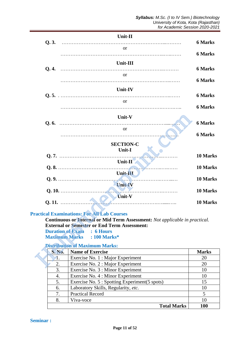|                         | Unit-II                                                                     |                |
|-------------------------|-----------------------------------------------------------------------------|----------------|
| Q.3.                    |                                                                             | <b>6 Marks</b> |
|                         | <sub>or</sub>                                                               |                |
|                         |                                                                             | <b>6 Marks</b> |
|                         | Unit-III                                                                    |                |
| Q.4.                    |                                                                             | <b>6 Marks</b> |
|                         | <b>or</b>                                                                   |                |
|                         |                                                                             | <b>6 Marks</b> |
|                         | Unit-IV                                                                     |                |
|                         |                                                                             | <b>6 Marks</b> |
|                         | or.                                                                         |                |
|                         |                                                                             | <b>6 Marks</b> |
|                         | Unit-V                                                                      |                |
|                         |                                                                             | <b>6 Marks</b> |
|                         | <b>or</b>                                                                   |                |
|                         |                                                                             | <b>6 Marks</b> |
|                         | <b>SECTION-C</b>                                                            |                |
|                         | Unit-I                                                                      |                |
|                         |                                                                             | 10 Marks       |
|                         | $Unit-II$                                                                   |                |
|                         | .<br>Unit-III                                                               | 10 Marks       |
|                         |                                                                             | 10 Marks       |
|                         | <b>Unit-IV</b>                                                              |                |
|                         |                                                                             | 10 Marks       |
|                         | <b>Unit-V</b>                                                               |                |
|                         |                                                                             | 10 Marks       |
|                         | <b>ractical Examinations: For All Lab Courses</b>                           |                |
|                         | Continuous or Internal or Mid Term Assessment: Not applicable in practical. |                |
|                         | <b>External or Semester or End Term Assessment:</b>                         |                |
| <b>Duration of Exam</b> | $: 6$ Hours                                                                 |                |
|                         | <b>Maximum Marks</b><br>: 100 Marks*                                        |                |
|                         | <b>Distribution of Maximum Marks:</b>                                       |                |
| <b>S. No.</b>           | <b>Name of Exercise</b>                                                     | <b>Marks</b>   |
| 1.                      | Exercise No. 1 : Major Experiment                                           | 20             |
| 2.                      | Exercise No. 2 : Major Experiment                                           | 20             |

## **Practical Examinations: For All Lab Courses**

#### **Distribution of Maximum Marks:**

| <b>S. No.</b> | <b>Name of Exercise</b>                        | <b>Marks</b> |
|---------------|------------------------------------------------|--------------|
|               | Exercise No. 1 : Major Experiment              | 20           |
| 2.            | Exercise No. 2 : Major Experiment              | 20           |
| 3.            | Exercise No. 3 : Minor Experiment              | 10           |
| 4.            | Exercise No. 4 : Minor Experiment              | 10           |
| 5.            | Exercise No. 5 : Spotting Experiment (5 spots) | 15           |
| 6.            | Laboratory Skills, Regularity, etc.            | 10           |
| 7.            | <b>Practical Record</b>                        |              |
| 8.            | Viva-voce                                      | 10           |
|               | <b>Total Marks</b>                             | 100          |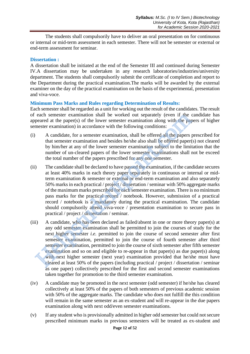The students shall compulsorily have to deliver an oral presentation on for continuous or internal or mid-term assessment in each semester. There will not be semester or external or end-term assessment for seminar.

## **Dissertation :**

A dissertation shall be initiated at the end of the Semester III and continued during Semester IV.A dissertation may be undertaken in any research laboratories/industries/university department. The students shall compulsorily submit the certificate of completion and report to the Department during the practical examination.The marks will be awarded by the external examiner on the day of the practical examination on the basis of the experimental, presentation and viva-voce.

## **Minimum Pass Marks and Rules regarding Determination of Results:**

Each semester shall be regarded as a unit for working out the result of the candidates. The result of each semester examination shall be worked out separately (even if the candidate has appeared at the paper(s) of the lower semester examination along with the papers of higher semester examination) in accordance with the following conditions:

- (i) A candidate, for a semester examination, shall be offered all the papers prescribed for that semester examination and besides he/she also shall be offered paper(s) not cleared by him/her at any of the lower semester examination subject to the limitation that the number of un-cleared papers of the lower semester examinations shall not be exceed the total number of the papers prescribed for any one semester.
- (ii) The candidate shall be declared to have passed the examination, if the candidate secures at least 40% marks in each theory paper separately in continuous or internal or midterm examination & semester or external or end-term examination and also separately 50% marks in each practical / project / dissertation / seminar with 50% aggregate marks of the maximum marks prescribed for each semester examination. There is no minimum pass marks for the practical record / notebook. However, submission of a practical record / notebook is a mandatory during the practical examination. The candidate should compulsorily attend viva-voce / presentation examination to secure pass in practical / project / dissertation / seminar. each semester examination shall be worked out separately (even if the operated at the papareles) of the lower semester examination in accordance with the following conditions:<br>
A candidate, for a semester examination, sha
- (iii) A candidate, who has been declared as failed/absent in one or more theory paper(s) at any odd semester examination shall be permitted to join the courses of study for the next higher semester *i.e.* permitted to join the course of second semester after first semester examination, permitted to join the course of fourth semester after third semester examination, permitted to join the course of sixth semester after fifth semester examination and so on and eligible to re-appear in that paper(s) as due paper(s) along with next higher semester (next year) examination provided that he/she must have cleared at least 50% of the papers (including practical / project / dissertation / seminar as one paper) collectively prescribed for the first and second semester examinations taken together for promotion to the third semester examination.
- (iv) A candidate may be promoted in the next semester (odd semester) if he/she has cleared collectively at least 50% of the papers of both semesters of previous academic session with 50% of the aggregate marks. The candidate who does not fulfill the this condition will remain in the same semester as an ex-student and will re-appear in the due papers examination along with next odd/even semester examinations.
- (v) If any student who is provisionally admitted in higher odd semester but could not secure prescribed minimum marks in previous semesters will be treated as ex-student and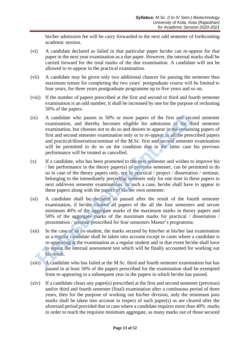his/her admission fee will be carry forwarded to the next odd semester of forthcoming academic session.

- (vi) A candidate declared as failed in that particular paper he/she can re-appear for that paper in the next year examination as a due paper. However, the internal marks shall be carried forward for the total marks of the due examination. A candidate will not be allowed to re-appear in the practical examination.
- (vii) A candidate may be given only two additional chances for passing the semester thus maximum tenure for completing the two years' postgraduate course will be limited to four years, for three years postgraduate programme up to five years and so on.
- (viii) If the number of papers prescribed at the first and second or third and fourth semester examination is an odd number, it shall be increased by one for the purpose of reckoning 50% of the papers.
- (ix) A candidate who passes in 50% or more papers of the first and second semester examination, and thereby becomes eligible for admission to the third semester examination, but chooses not to do so and desires to appear in the remaining papers of first and second semester examination only or to re-appear in all the prescribed papers and practical/dissertation/seminar of the M.Sc. first and second semester examination will be permitted to do so on the condition that in the latter case his previous performance will be treated as cancelled. A candidate who passes in 50% or more papers of the first and sec<br>examination, and thereby becomes eligible for admission to the the<br>examination, but chooses not to do so and desires to appear in the remain<br>first and seco
- (x) If a candidate, who has been promoted to the next semester and wishes to improve his / her performance in the theory paper(s) of previous semester, can be permitted to do so in case of the theory papers only, not in practical / project / dissertation / seminar, belonging to the immediately preceding semester only for one time in these papers in next odd/even semester examinations. In such a case, he/she shall have to appear in these papers along with the papers of his/her own semester.
- (xi) A candidate shall be declared as passed after the result of the fourth semester examination, if he/she cleared all papers of the all the four semesters and secure minimum 40% of the aggregate marks of the maximum marks in theory papers and 50% of the aggregate marks of the maximum marks for practical / dissertation / presentation / seminar prescribed for four semesters Master's programme.
- (xii) In the case of an ex-student, the marks secured by him/her at his/her last examination as a regular candidate shall be taken into account except in cases where a candidate is re-appearing at the examination as a regular student and in that event he/she shall have to repeat the internal assessment test which will be finally accounted for working out his result.
- (xiii) A candidate who has failed at the M.Sc. third and fourth semester examination but has passed in at least 50% of the papers prescribed for the examination shall be exempted from re-appearing in a subsequent year in the papers in which he/she has passed.
- (xiv) If a candidate clears any paper(s) prescribed at the first and second semester (previous) and/or third and fourth semester (final) examination after a continuous period of three years, then for the purpose of working out his/her division, only the minimum pass marks shall be taken into account in respect of such paper(s) as are cleared after the aforesaid period provided that in case where a candidate requires more than 40% marks in order to reach the requisite minimum aggregate, as many marks out of those secured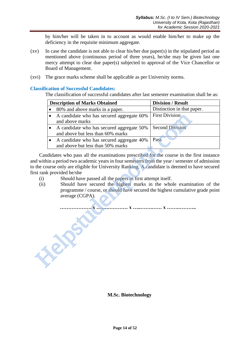by him/her will be taken in to account as would enable him/her to make up the deficiency in the requisite minimum aggregate.

- (xv) In case the candidate is not able to clear his/her due paper(s) in the stipulated period as mentioned above (continuous period of three years), he/she may be given last one mercy attempt to clear due paper(s) subjected to approval of the Vice Chancellor or Board of Management.
- (xvi) The grace marks scheme shall be applicable as per University norms.

## **Classification of Successful Candidates:**

Helpstudentpoint.com

The classification of successful candidates after last semester examination shall be as:

| <b>Description of Marks Obtained</b>      | <b>Division / Result</b>   |  |
|-------------------------------------------|----------------------------|--|
| 80% and above marks in a paper.           | Distinction in that paper. |  |
| A candidate who has secured aggregate 60% | <b>First Division</b>      |  |
| and above marks                           |                            |  |
| A candidate who has secured aggregate 50% | <b>Second Division</b>     |  |
| and above but less than 60% marks         |                            |  |
| A candidate who has secured aggregate 40% | Pass                       |  |
| and above but less than 50% marks         |                            |  |

Candidates who pass all the examinations prescribed for the course in the first instance and within a period two academic years in four semesters from the year / semester of admission to the course only are eligible for University Ranking. A candidate is deemed to have secured first rank provided he/she

- (i) Should have passed all the papers in first attempt itself.
- (ii) Should have secured the highest marks in the whole examination of the programme / course, or should have secured the highest cumulative grade point average (CGPA).

**………………. x …….………… x …..…….…… x …….………..**

## **M.Sc. Biotechnology**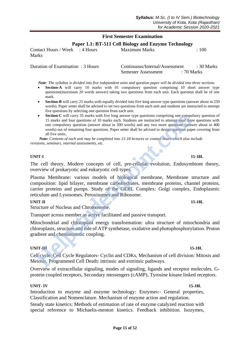## **First Semester Examination**

**Paper 1.1: BT-511 Cell Biology and Enzyme Technology**

Contact Hours / Week : 4 Hours Maximum Marks : 100 Marks

Duration of Examination : 3 Hours Continuous/Internal/Assessment : 30 Marks Semester Assessment : 70 Marks

 *Note: The syllabus is divided into five independent units and question paper will be divided into three sections.*

- **Section-A** will carry 10 marks with 01 compulsory question comprising 10 short answer type questions(maximum 20 words answer) taking two questions from each unit. Each question shall be of one mark.
- **Section-B** will carry 25 marks with equally divided into five long answer type questions (answer about in 250 words). Paper setter shall be advised to set two questions from each unit and students are instructed to attempt five questions by selecting one question from each unit.
- **Section-C** will carry 35 marks with five long answer type questions comprising one compulsory question of 15 marks and four questions of 10 marks each. Students are instructed to attempt total three questions with one compulsory question (answer about in 500 words) and any two more questions (answer about in 400 words) out of remaining four questions. Paper setter shall be advised to design question paper covering from all five units.*.* • Section-C will cary 35 mats with five long answer type questions comprising one compulsory and four questions of 10 matks each. Students are instructed to attempt total the one compulsory question (answer about in 500 wo

 *Note: Contents of each unit may be completed into 15-18 lectures or contact hours which also include revisions, seminars, internal assessments, etc.*

#### **UNIT-I 15-18L**

The cell theory, Modern concepts of cell, pre-cellular evolution, Endosymbiont theory, overview of prokaryotic and eukaryotic cell types.

Plasma Membrane: various models of biological membrane, Membrane structure and composition: lipid bilayer, membrane carbohydrates, membrane proteins, channel proteins, carrier proteins and pumps. Study of the GERL Complex: Golgi complex, Endoplasmic reticulum and Lysosomes. Peroxisomes and Ribosome.

#### **UNIT-II** 15-18L

Structure of Nucleus and Chromosome.

Transport across member as active facilitated and passive transport.

Mitochondrial and chloroplast energy transformation: ultra structure of mitochondria and chloroplasts, structure and role of ATP synthetase, oxidative and photophosphorylation. Proton gradient and chemiosmotic coupling.

#### **UNIT-III** 15-18L

Cell cycle, Cell Cycle Regulators- Cyclin and CDKs, Mechanism of cell division: Mitosis and Meiosis. Programmed Cell Death: intrinsic and extrinsic pathways.

Overview of extracellular signaling, modes of signaling, ligands and receptor molecules. Gprotein coupled receptors, Secondary messengers (cAMP), Tyrosine kinase linked receptors.

#### **UNIT- IV 15-18L**

Introduction to enzyme and enzyme technology: Enzymes:- General properties, Classification and Nomenclature. Mechanism of enzyme action and regulation. Steady state kinetics: Methods of estimation of rate of enzyme catalyzed reaction with special reference to Michaelis-menton kinetics. Feedback inhibition. Isozymes,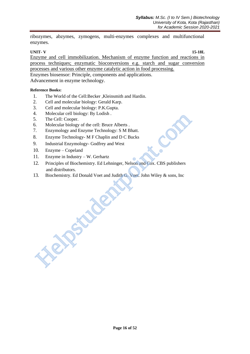ribozymes, abzymes, zymogens, multi-enzymes complexes and multifunctional enzymes.

#### **UNIT- V 15-18L**

Enzyme and cell immobilization. Mechanism of enzyme function and reactions in process techniques; enzymatic bioconversions e.g. starch and sugar conversion processes and various other enzyme catalytic action in food processing. Enzymes biosensor: Principle, components and applications. Advancement in enzyme technology.

#### **Reference Books:**

- 1. The World of the Cell:Becker ,Kleinsmith and Hardin.
- 2. Cell and molecular biology: Gerald Karp.
- 3. Cell and molecular biology: P.K.Gupta.
- 4. Molecular cell biology: By Lodish .
- 5. The Cell: Cooper.
- 6. Molecular biology of the cell: Bruce Alberts .
- 7. Enzymology and Enzyme Technology: S M Bhatt.
- 8. Enzyme Technology- M F Chaplin and D C Bucks
- 9. Industrial Enzymology- Godfrey and West

Helpster,

- 10. Enzyme Copeland
- 11. Enzyme in Industry W. Gerhartz
- 12. Principles of Biochemistry. Ed Lehninger, Nelson and Cox. CBS publishers and distributors.
- 13. Biochemistry. Ed Donald Voet and Judith G. Voet. John Wiley & sons, Inc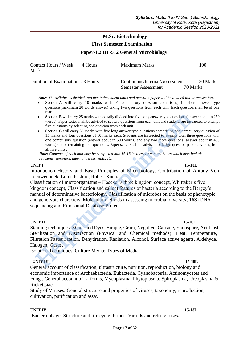## **M.Sc. Biotechnology First Semester Examination**

## **Paper-1.2 BT-512 General Microbiology**

| Contact Hours / Week : 4 Hours    | Maximum Marks                  | :100            |
|-----------------------------------|--------------------------------|-----------------|
| <b>Marks</b>                      |                                |                 |
| Duration of Examination : 3 Hours | Continuous/Internal/Assessment | ∴30 Marks       |
|                                   | Semester Assessment            | $\div$ 70 Marks |

 *Note: The syllabus is divided into five independent units and question paper will be divided into three sections.*

- **Section-A** will carry 10 marks with 01 compulsory question comprising 10 short answer type questions(maximum 20 words answer) taking two questions from each unit. Each question shall be of one mark.
- **Section-B** will carry 25 marks with equally divided into five long answer type questions (answer about in 250 words). Paper setter shall be advised to set two questions from each unit and students are instructed to attempt five questions by selecting one question from each unit.
- **Section-C** will carry 35 marks with five long answer type questions comprising one compulsory question of 15 marks and four questions of 10 marks each. Students are instructed to attempt total three questions with one compulsory question (answer about in 500 words) and any two more questions (answer about in 400 words) out of remaining four questions. Paper setter shall be advised to design question paper covering from all five units.*.*

 *Note: Contents of each unit may be completed into 15-18 lectures or contact hours which also include revisions, seminars, internal assessments, etc.*

#### **UNIT I** 15-18L

Introduction History and Basic Principles of Microbiology. Contribution of Antony Von Leeuwenhoek, Louis Pasture, Robert Koch.

Classification of microorganisms – Haeckel's three kingdom concept, Whittaker's five kingdom concept, Classification and salient features of bacteria according to the Bergey's manual of determinative bacteriology. Classification of microbes on the basis of phenotypic and genotypic characters. Molecular methods in assessing microbial diversity; 16S rDNA sequencing and Ribosomal Database Project. • Section-B will carry 25 marks with equally divided into five long answer type questions (amords). Paper setter shall be advised to set two questions for meach unit.<br>
• Section-C will carry 35 marks with five long answer

**UNIT II** 15-18L Staining techniques: Stains and Dyes, Simple, Gram, Negative, Capsule, Endospore, Acid fast. Sterilization and Disinfection (Physical and Chemical methods): Heat, Temperature, Filtration Pasteurization, Dehydration, Radiation, Alcohol, Surface active agents, Aldehyde, Halogen, Gases.

Isolation Techniques. Culture Media: Types of Media.

#### **UNIT III** 15-18L

General account of classification, ultrastructure, nutrition, reproduction, biology and economic importance of Archaebacteria, Eubacteria, Cyanobacteria, Actinomycetes and Fungi. General account of L- forms, Mycoplasma, Phytoplasma, Spiroplasma, Ureoplasma & Rickettsiae.

Study of Viruses: General structure and properties of viruses, taxonomy, reproduction, cultivation, purification and assay.

#### **UNIT IV 15-18L**

.Bacteriophage: Structure and life cycle. Prions, Viroids and retro viruses.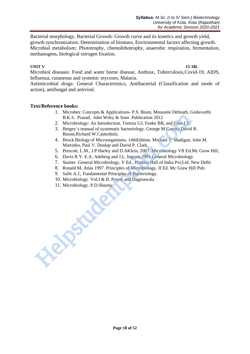Bacterial morphology, Bacterial Growth: Growth curve and its kinetics and growth yield, growth synchronization. Determination of biomass, Environmental factors affecting growth. Microbial metabolism: Phototrophy, chemolithotrophy, anaerobic respiration, fermentation, methanogens, biological nitrogen fixation.

## **UNIT V 15-18L**

Microbiol diseases: Food and water borne disease, Anthrax, Tuberculosis,Covid-19, AIDS, Influenza, cutaneous and systemic mycoses, Malaria.

Antimicrobial drugs: General Characteristics, Antibacterial (Classification and mode of action), antifungal and antiviral.

#### **Text/Reference books:**

- 1. Microbes: Concepts & Applications- P.S. Bisen, Mousumi Debnath, Godavarthi B.K.S. Prasad, John Wiley & Sons Publication 2012
- 2. Microbiology: An Introduction. Tortora GJ, Funke BR, and Case CL.
- 3. Bergey`s manual of systematic bacteriology. George M.Garrity,David R. Boone,Richard W.Castenholz.
- 4. Brock Biology of Microorganisms, 14thEdition. Michael T. Madigan, John M. Martinko, Paul V. Dunlap and David P. Clark.
- 5. Prescott, L.M., J.P Harley and D.AKlein, 2007. Microbiology VII Ed.Mc Grow Hill,
- 6. Davis R.Y. E.A. Adeberg and J.L. Ingram,1991 General Microbiology
- 7. Stainer .General Microbiology, V Ed., Printice Hall of India Pvt,Ltd. New Delhi
- 8. Ronald M. Atlas 1997. Principles of Microbiology. II Ed. Mc Graw Hill Pub.
- 9. Salle A.J., Fundamental Principles of Bacteriology.
- 10. Microbiology Vol.I & II. Power and Daginawala
- 11. Microbiology. P.D.Sharma Helpst under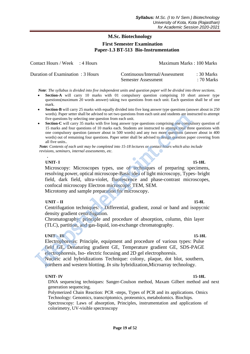## **M.Sc. Biotechnology First Semester Examination Paper-1.3 BT-513 Bio-Instrumentation**

| Contact Hours / Week : 4 Hours    | Maximum Marks: 100 Marks |             |
|-----------------------------------|--------------------------|-------------|
|                                   |                          |             |
| Duration of Examination : 2 Hours | $Countin 1 (Intom01/0$   | $.20$ Morks |

| Duration of Examination: 3 Hours | Continuous/Internal/Assessment | $: 30$ Marks |
|----------------------------------|--------------------------------|--------------|
|                                  | <b>Semester Assessment</b>     | $: 70$ Marks |

 *Note: The syllabus is divided into five independent units and question paper will be divided into three sections.*

- **Section-A** will carry 10 marks with 01 compulsory question comprising 10 short answer type questions(maximum 20 words answer) taking two questions from each unit. Each question shall be of one mark.
- **Section-B** will carry 25 marks with equally divided into five long answer type questions (answer about in 250 words). Paper setter shall be advised to set two questions from each unit and students are instructed to attempt five questions by selecting one question from each unit.
- **Section-C** will carry 35 marks with five long answer type questions comprising one compulsory question of 15 marks and four questions of 10 marks each. Students are instructed to attempt total three questions with one compulsory question (answer about in 500 words) and any two more questions (answer about in 400 words) out of remaining four questions. Paper setter shall be advised to design question paper covering from all five units.*.*

 *Note: Contents of each unit may be completed into 15-18 lectures or contact hours which also include revisions, seminars, internal assessments, etc.*

## **UNIT- I 15-18L**

**.**

Microscopy: Microscopes types, use of techniques of preparing specimens, resolving power, optical microscope-Basic idea of light microscopy, Types- bright field, dark field, ultra-violet, fluorescence and phase-contrast microscopes, confocal microscopy Electron microscope: TEM, SEM. Microtomy and sample preparation for microscopy**.**  wors). Paper setter snall be advased to set two questions from each unit and students are ms<br>
Section-C will carry 35 marks with five long answer type questions comprising one compulsory<br>
15 marks and four questions of 10

## **UNIT – II 15-8L**

Centrifugation techniques: - Differential, gradient, zonal or band and isopycnic density gradient centrifugation.

Chromatography: principle and procedure of absorption, column, thin layer (TLC), partition, and gas-liquid, ion-exchange chromatography.

## **UNIT – III 15-18L**

Electrophoresis: Principle, equipment and procedure of various types: Pulse field GE, Denaturing gradient GE, Temperature gradient GE, SDS-PAGE electrophoresis, Iso- electric focusing and 2D gel electrophoresis.

Nucleic acid hybridizations Technique: colony, plaque, dot blot, southern, northern and western blotting. *In situ* hybridization,Microarray technology.

## **UNIT- IV 15-18L**

DNA sequencing techniques: Sanger-Coulson method, Maxam Gilbert method and next generation sequencing.

Polymerized Chain Reaction: PCR -steps, Types of PCR and its applications. Omics Technology: Genomics, transcriptomics, proteomics, metabolomics. Biochips.

Spectroscopy: Laws of absorption, Principles, instrumentation and applications of colorimetry, UV-visible spectroscopy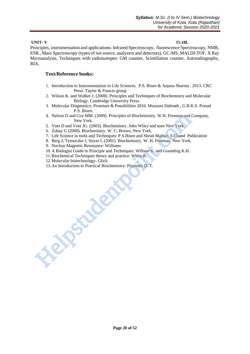#### **UNIT- V 15-18L**

Principles, instrumentation and applications: Infrared Spectroscopy, fluorescence Spectroscopy, NMR, ESR., Mass Spectroscopy (types of ion source, analyzers and detectors), GC-MS, MALDI-TOF. X Ray Microanalysis, Techniques with radioisotopes: GM counter, Scintillation counter, Autoradiography, RIA,

#### **Text/Reference books:**

- 1. Introduction to Instrumentation in Life Sciences. P.S. Bisen & Anjana Sharma . 2013. CRC Press. Taylor & Francis group
- 2. Wilson K. and Walker J. (2008). Principles and Techniques of Biochemistry and Molecular Biology. Cambridge University Press.
- 3. Molecular Diagnostics: Promises & Possibilities 2010. Mousuni Dabnath , G.B.K.S. Prasad P.S. Bisen.
- 4. Nelson D and Cox MM. (2009). Principles of Biochemistry. W.H. Freeman and Company, New York.
- 5. Voet D and Voet JG. (2003). Biochemistry. John Wiley and sons New York.
- 6. Zubay G (2000). Biochemistry. W. C. Brown, New York.
- 7. Life Science in tools and Techniques: P.S.Bisen and Shruti Mathur, S.Chand Publication
- 8. Berg J, Tymoczko J, Stryer L (2001). Biochemistry. W. H. Freeman, New York.
- 9. Nuclear Magnetic Resonance: Williams
- 10. A Biologist Guide to Principle and Techniques: Willson K. and Gounding K.H.
- 11.Biochemical Techniques theory and practice: White R.
- 12. Molecular biotechnology- Glick
- 13. An Introduction to Practical Biochemistry: Plummer D. T.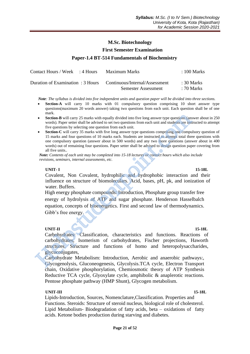#### **First Semester Examination**

#### **Paper-1.4 BT-514 Fundamentals of Biochemistry**

| Contact Hours / Week : 4 Hours | Maximum Marks                                                    | $\therefore$ 100 Marks |
|--------------------------------|------------------------------------------------------------------|------------------------|
|                                | Duration of Examination : 3 Hours Continuous/Internal/Assessment | $\pm 30$ Marks         |
|                                | <b>Semester Assessment</b>                                       | : 70 Marks             |

 *Note: The syllabus is divided into five independent units and question paper will be divided into three sections.*

- **Section-A** will carry 10 marks with 01 compulsory question comprising 10 short answer type questions(maximum 20 words answer) taking two questions from each unit. Each question shall be of one mark.
- **Section-B** will carry 25 marks with equally divided into five long answer type questions (answer about in 250) words). Paper setter shall be advised to set two questions from each unit and students are instructed to attempt five questions by selecting one question from each unit.
- **Section-C** will carry 35 marks with five long answer type questions comprising one compulsory question of 15 marks and four questions of 10 marks each. Students are instructed to attempt total three questions with one compulsory question (answer about in 500 words) and any two more questions (answer about in 400 words) out of remaining four questions. Paper setter shall be advised to design question paper covering from all five units.*.*

 *Note: Contents of each unit may be completed into 15-18 lectures or contact hours which also include revisions, seminars, internal assessments, etc.*

#### **UNIT- I 15-18L**

Covalent, Non Covalent, hydrophilic and hydrophobic interaction and their influence on structure of biomoleculars. Acid, bases, pH, pk, and ionization of water. Buffers.

High energy phosphate compounds: Introduction, Phosphate group transfer free energy of hydrolysis of ATP and sugar phosphate. Henderson Hasselbalch equation, concepts of bioenergetics. First and second law of thermodynamics. Gibb's free energy. **Example 10**<br> **Example 10**<br> **Example 10**<br> **Example 10** Both advised to set two questions from each unit and students are instructed by selecting one questions from each unit.<br> **Section-C** will carry 35 marks with five long

## **UNIT-II** 15-18L

Carbohydrates: Classification, characteristics and functions. Reactions of carbohydrates, Isomerism of carbohydrates, Fischer projections, Haworth structures. Structure and functions of homo and heteropolysaccharides, glycoconjugates,

Carbohydrate Metabolism: Introduction, Aerobic and anaerobic pathways:, Glycogenolysis, Gluconeogenesis, Glycolysis.TCA cycle, Electron Transport chain, Oxidative phosphorylation, Chemiosmotic theory of ATP Synthesis Reductive TCA cycle, Glyoxylate cycle, amphibolic & anaplerotic reactions. Pentose phosphate pathway (HMP Shunt), Glycogen metabolism.

#### **UNIT-III 15-18L**

Lipids-Introduction, Sources, Nomenclature,Classification. Properties and Functions. Steroids: Structure of steroid nucleus, biological role of cholesterol. Lipid Metabolism- Biodegradation of fatty acids, beta – oxidations of fatty acids. Ketone bodies production during starving and diabetes.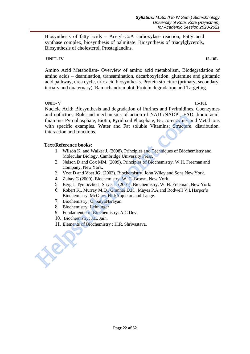Biosynthesis of fatty acids – Acetyl-CoA carboxylase reaction, Fatty acid synthase complex, biosynthesis of palmitate. Biosynthesis of triacylglycerols, Biosynthesis of cholesterol, Prostaglandins.

## **UNIT- IV 15-18L**

Amino Acid Metabolism- Overview of amino acid metabolism, Biodegradation of amino acids – deamination, transamination, decarboxylation, glutamine and glutamic acid pathway, urea cycle, uric acid biosynthesis. Protein structure (primary, secondary, tertiary and quaternary). Ramachandran plot. Protein degradation and Targeting.

 **UNIT- V 15-18L** Nucleic Acid: Biosynthesis and degradation of Purines and Pyrimidines. Coenzymes and cofactors: Role and mechanisms of action of NAD<sup>+</sup>/NADP<sup>+</sup>, FAD, lipoic acid, thiamine, Pyrophosphate, Biotin, Pyridoxal Phosphate,  $B_{12}$  co-enzymes and Metal ions with specific examples. Water and Fat soluble Vitamins; Structure, distribution, interaction and functions. and cotactors: Role and mechanisms of action of NAD<sup>T</sup>/NADP<sup>+</sup>, FAD,<br>thiannine, Pyrophosphate, Biotin, Pyridoxal Phosphate, B<sub>12</sub> co-enzymes and<br>with specific examples. Water and Fat soluble Vitamins; Structure, d<br>interact

## **Text/Reference books:**

- 1. Wilson K. and Walker J. (2008). Principles and Techniques of Biochemistry and Molecular Biology. Cambridge University Press.
- 2. Nelson D and Cox MM. (2009). Principles of Biochemistry. W.H. Freeman and Company, New York.
- 3. Voet D and Voet JG. (2003). Biochemistry. John Wiley and Sons New York.
- 4. Zubay G (2000). Biochemistry. W. C. Brown, New York.
- 5. Berg J, Tymoczko J, Stryer L (2001). Biochemistry. W. H. Freeman, New York.
- 6. Robert K., Murray M.D., Granner D.K., Mayes P.A.and Rodwell V.I.Harper's Biochemistry. McGraw-Hill/Appleton and Lange.
- 7. Biochemistry: U, SatyaNarayan.
- 8. Biochemistry: Lehninger
- 9. Fundamental of Biochemistry: A.C.Dev.
- 10. Biochemistry: J.L. Jain.
- 11. Elements of Biochemistry : H.R. Shrivastava.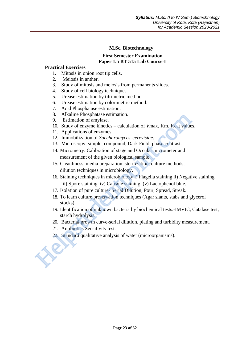## **First Semester Examination Paper 1.5 BT 515 Lab Course-I**

## **Practical Exercises**

- 1. Mitosis in onion root tip cells.
- 2. Meiosis in anther.
- 3. Study of mitosis and meiosis from permanents slides.
- 4. Study of cell biology techniques.
- 5. Urease estimation by titrimetric method.
- 6. Urease estimation by colorimetric method.
- 7. Acid Phosphatase estimation.
- 8. Alkaline Phosphatase estimation.
- 9. Estimation of amylase.
- 10. Study of enzyme kinetics calculation of *V*max, Km, Kcat values.
- 11. Applications of enzymes.
- 12. Immobilization of *Saccharomyces cerevisiae*.
- 13. Microscopy: simple, compound, Dark Field, phase contrast.
- 14. Micrometry: Calibration of stage and Occular micrometer and measurement of the given biological sample
- 15. Cleanliness, media preparation, sterilization, culture methods, dilution techniques in microbiology.
- 16. Staining techniques in microbiology i) Flagella staining ii) Negative staining iii) Spore staining iv) Capsule staining. (v) Lactophenol blue. 8. Arialme Phophatase estimation.<br>
9. Estimation of amylase.<br>
10. Study of enzyme kinetics – calculation of Vmax, Km, Keat value<br>
11. Applications of enzymes.<br>
12. Immobilization of Saccharomyces cerevisiae.<br>
13. Microscop
	- 17. Isolation of pure culture- Serial Dilution, Pour, Spread, Streak.
	- 18. To learn culture preservation techniques (Agar slants, stabs and glycerol stocks).
	- 19. Identification of unknown bacteria by biochemical tests.-IMVIC, Catalase test, starch hydrolysis.
	- 20. Bacterial growth curve-serial dilution, plating and turbidity measurement.
	- 21. Antibiotics Sensitivity test.
	- 22. Standard qualitative analysis of water (microorganisms).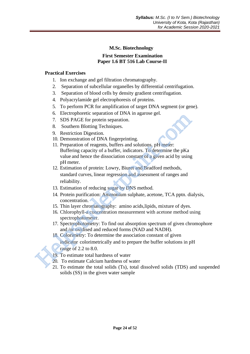## **M.Sc. Biotechnology First Semester Examination Paper 1.6 BT 516 Lab Course-II**

## **Practical Exercises**

- 1. Ion exchange and gel filtration chromatography.
- 2. Separation of subcellular organelles by differential centrifugation.
- 3. Separation of blood cells by density gradient centrifugation.
- 4. Polyacrylamide gel electrophoresis of proteins.
- 5. To perform PCR for amplification of target DNA segment (or gene).
- 6. Electrophoretic separation of DNA in agarose gel.
- 7. SDS PAGE for protein separation.
- 8. Southern Blotting Techniques.
- 9. Restriction Digestion.
- 10. Demonstration of DNA fingerprinting.
- 11. Preparation of reagents, buffers and solutions. pH meter: Buffering capacity of a buffer, indicators. To determine the pKa value and hence the dissociation constant of a given acid by using pH meter. 3. Extroplytote separaton of DVAN in agadose get.<br>
7. SDS PAGE for protein separation.<br>
9. Restriction Digestion.<br>
10. Demonstration of DNA fingerprinting.<br>
11. Preparation of DNA fingerprinting.<br>
11. Preparation of protei
	- 12. Estimation of protein: Lowry, Biuret and Bradford methods, standard curves, linear regression and assessment of ranges and reliability.
	- 13. Estimation of reducing sugar by DNS method.
	- 14. Protein purification: Ammonium sulphate, acetone, TCA pptn. dialysis, concentration.
	- 15. Thin layer chromatography: amino acids,lipids, mixture of dyes.
	- 16. Chlorophyll-a concentration measurement with acetone method using spectrophotometer.
	- 17. Spectrophotometry: To find out absorption spectrum of given chromophore and /or oxidised and reduced forms (NAD and NADH).
	- 18. Colorimetry: To determine the association constant of given indicator colorimetrically and to prepare the buffer solutions in pH range of 2.2 to 8.0.
	- 19. To estimate total hardness of water
	- 20. To estimate Calcium hardness of water
	- 21. To estimate the total solids (Ts), total dissolved solids (TDS) and suspended solids (SS) in the given water sample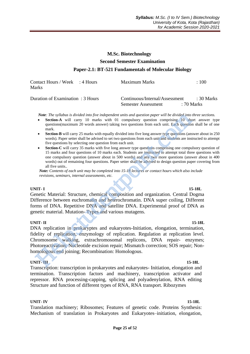# **M.Sc. Biotechnology Second Semester Examination Paper-2.1: BT-521 Fundamentals of Molecular Biology**

| Contact Hours / Week : 4 Hours<br><b>Marks</b> | Maximum Marks                  | :100            |
|------------------------------------------------|--------------------------------|-----------------|
| Duration of Examination : 3 Hours              | Continuous/Internal/Assessment | : 30 Marks      |
|                                                | Semester Assessment            | $\div$ 70 Marks |

 *Note: The syllabus is divided into five independent units and question paper will be divided into three sections.*

- **Section-A** will carry 10 marks with 01 compulsory question comprising 10 short answer type questions(maximum 20 words answer) taking two questions from each unit. Each question shall be of one mark.
- **Section-B** will carry 25 marks with equally divided into five long answer type questions (answer about in 250 words). Paper setter shall be advised to set two questions from each unit and students are instructed to attempt five questions by selecting one question from each unit.
- **Section-C** will carry 35 marks with five long answer type questions comprising one compulsory question of 15 marks and four questions of 10 marks each. Students are instructed to attempt total three questions with one compulsory question (answer about in 500 words) and any two more questions (answer about in 400 words) out of remaining four questions. Paper setter shall be advised to design question paper covering from all five units.*.*

 *Note: Contents of each unit may be completed into 15-18 lectures or contact hours which also include revisions, seminars, internal assessments, etc.*

#### **UNIT- I 15-18L**

Genetic Material: Structure, chemical composition and organization. Central Dogma Difference between euchromatin and heterochromatin. DNA super coiling, Different forms of DNA. Repetitive DNA and satellite DNA. Experimental proof of DNA as genetic material. Mutation- Types and various mutagens.

#### **UNIT- II** 15-18L

DNA replication in prokaryptes and eukaryotes-Initiation, elongation, termination, fidelity of replication, enzymology of replication. Regulation at replication level. Chromosome walking, extrachromosomal replicons, DNA repair- enzymes; Photoreactivation; Nucleotide excision repair; Mismatch correction; SOS repair; Nonhomologous end joining; Recombination: Homologous. **Note:** The syllabox is divided into five independent units and question paper will be divided into compution the meta-<br>section A will carry 10 marks with equally divided into five long answer type questions (maximum 20 w

#### **UNIT- III** 15-18L

Transcription: transcription in prokaryotes and eukaryotes- Initiation, elongation and termination. Transcription factors and machinery, transcription activator and repressor. RNA processing-capping, splicing and polyadenylation, RNA editing Structure and function of different types of RNA, RNA transport. Ribozymes

#### **UNIT- IV 15-18L**

Translation machinery; Ribosomes; Features of genetic code. Proteins Synthesis: Mechanism of translation in Prokaryotes and Eukaryotes–initiation, elongation,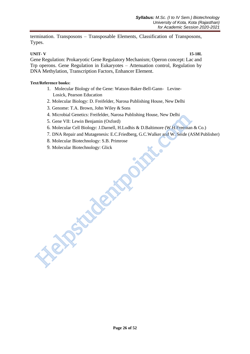termination. Transposons – Transposable Elements, Classification of Transposons, Types.

#### **UNIT- V 15-18L**

Gene Regulation: Prokaryotic Gene Regulatory Mechanism; Operon concept: Lac and Trp operons. Gene Regulation in Eukaryotes – Attenuation control, Regulation by DNA Methylation, Transcription Factors, Enhancer Element.

#### **Text/Reference books:**

- 1. Molecular Biology of the Gene: Watson-Baker-Bell-Gann- Levine- Losick, Pearson Education
- 2. Molecular Biology: D. Freifelder, Narosa Publishing House, New Delhi
- 3. Genome: T.A. Brown, John Wiley & Sons
- 4. Microbial Genetics: Freifelder, Narosa Publishing House, New Delhi
- 5. Gene VII: Lewin Benjamin (Oxford)
- 6. Molecular Cell Biology: J.Darnell, H.Lodhis & D.Baltimore (W.H.Freeman & Co.)
- 7. DNA Repair and Mutagenesis: E.C.Friedberg, G.C.Walker and W. Seide (ASM Publisher)
- 8. Molecular Biotechnology: S.B. Primrose

Helpstadente<sup>i</sup>

9. Molecular Biotechnology: Glick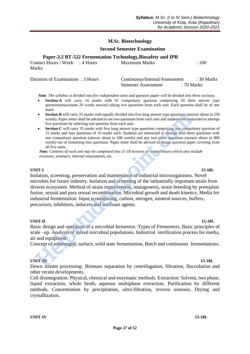#### **Second Semester Examination**

|  | Paper-2.2 BT-522 Fermentation Technology, Biosafety and IPR |  |  |
|--|-------------------------------------------------------------|--|--|
|  |                                                             |  |  |

Contact Hours / Week : 4 Hours Maximum Marks : 100 Marks

| Duration of Examination: 3 Hours | Continuous/Internal/Assessment | : 30 Marks |
|----------------------------------|--------------------------------|------------|
|                                  | Semester Assessment            | : 70 Marks |

 *Note: The syllabus is divided into five independent units and question paper will be divided into three sections.*

- **Section-A** will carry 10 marks with 01 compulsory question comprising 10 short answer type questions(maximum 20 words answer) taking two questions from each unit. Each question shall be of one mark.
- **Section-B** will carry 25 marks with equally divided into five long answer type questions (answer about in 250) words). Paper setter shall be advised to set two questions from each unit and students are instructed to attempt five questions by selecting one question from each unit.
- **Section-C** will carry 35 marks with five long answer type questions comprising one compulsory question of 15 marks and four questions of 10 marks each. Students are instructed to attempt total three questions with one compulsory question (answer about in 500 words) and any two more questions (answer about in 400 words) out of remaining four questions. Paper setter shall be advised to design question paper covering from all five units.*.*

 *Note: Contents of each unit may be completed into 15-18 lectures or contact hours which also include revisions, seminars, internal assessments, etc.*

#### **UNIT-I 15-18L**

Isolation, screening, preservation and maintenance of industrial microorganisms. Novel microbes for future industry. Isolation and screening of the industrially important strain from diverse ecosystem. Method of strain improvement, mutagenesis, strain breeding by protoplast fusion, sexual and para sexual recombination. Microbial growth and death kinetics. Media for industrial fermentation: Input economizing, carbon, nitrogen, mineral sources, buffers, precursors, inhibitors, inducers and antifoam agents. **Section -B** will carry 25 marks with equally divided into five long answer type questions (some words). Paper setter shall be advised to set two questions from each unit and students are inverse two equations of 10 marks

**UNIT-II 15-18L** Basic design and operation of a microbial fermentor. Types of Fermenters. Basic principles of scale –up. Analysis of mixed microbial populations. Industrial sterilization process for media, air and equipment

Concept of submerged, surface, solid state fermentation, Batch and continuous fermentations.

#### **UNIT-III 15-18L**

Down stream processing: Biomass separation by centrifugation, filtration, flocculation and other recent developments.

Cell disintegration: Physical, chemical and enzymatic methods. Extraction: Solvent, two phase, liquid extraction, whole broth, aqueous multiphase extraction. Purification by different methods. Concentration by precipitation, ultra-filtration, reverse osmosis. Drying and crystallization.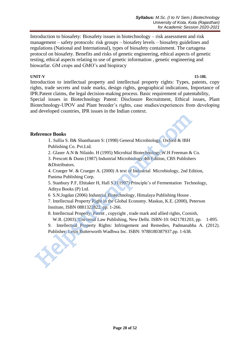Introduction to biosafety: Biosafety issues in biotechnology – risk assessment and risk management – safety protocols: risk groups – biosafety levels – biosafety guidelines and regulations (National and International), types of biosafety containment. The cartagena protocol on biosafety. Benefits and risks of genetic engineering, ethical aspects of genetic testing, ethical aspects relating to use of genetic information , genetic engineering and biowarfar. GM crops and GMO's and biopiracy

## **UNIT-V 15-18L**

Introduction to intellectual property and intellectual property rights: Types, patents, copy rights, trade secrets and trade marks, design rights, geographical indications, Importance of IPR.Patent claims, the legal decision-making process. Basic requirement of patentability, Special issues in Biotechnology Patent: Disclosure Recruitment, Ethical issues, Plant Biotechnology-UPOV and Plant breeder's rights, case studies/experiences from developing and developed countries, IPR issues in the Indian context.

## **Reference Books**

1. Sullia S. B& Shantharam S: (1998) General Microbiology, Oxford & IBH Publishing Co. Pvt.Ltd.

2. Glaser A.N & Nilaido. H (1995) Microbial Biotechnology,W.H Freeman & Co.

3. Prescott & Dunn (1987) Industrial Microbiology 4th Edition, CBS Publishers &Distributors. eference Books<br>
1. Sullia S. B& Shantharam S: (1998) General Microbiology, Oxford & IBH<br>
2. Glaser A.N & Nilaido. H (1995) Microbiol Biotechnology, W.H Freeman &<br>
2. Glaser A.N & Nilaido. H (1995) Microbiology 4th Edition,

4. Crueger W. & Crueger A. (2000) A text of Industrial Microbiology, 2nd Edition, Panima Publishing Corp.

5. Stanbury P.F, Ehitaker H, Hall S.J (1997) Principle's of Fermentation Technology, Aditya Books (P) Ltd.

6 S.N.Jogdan (2006) Industrial Biotechnology, Himalaya Publishing House .

7. Intellectual Property Right in the Global Economy. Maskus, K.E. (2000), Peterson Institute, ISBN 0881322822, pp. 1-266.

8. Intellectual Property: Patent , copyright , trade mark and allied rights, Cornish,

W.R. (2003). Universal Law Publishing, New Delhi. ISBN-10: 0421781203, pp. 1-895.

9. Intellectual Property Rights: Infringement and Remedies, Padmanabha A. (2012). Publisher: Lexis Butterworth Wadhwa Inc. ISBN: 9788180387937.pp. 1-638.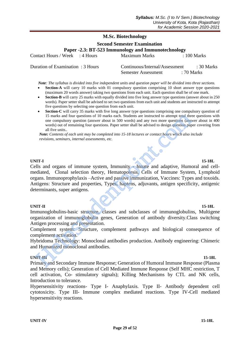Semester Assessment : 70 Marks

## **M.Sc. Biotechnology**

 **Second Semester Examination**

**Paper -2.3: BT-523 Immunology and Immunotechnology**

| Contact Hours / Week : 4 Hours   | Maximum Marks                  | $\therefore$ 100 Marks |
|----------------------------------|--------------------------------|------------------------|
| Duration of Examination: 3 Hours | Continuous/Internal/Assessment | : 30 Marks             |

 *Note: The syllabus is divided into five independent units and question paper will be divided into three sections.*

- Section-A will carry 10 marks with 01 compulsory question comprising 10 short answer type questions (maximum 20 words answer) taking two questions from each unit. Each question shall be of one mark.
- **Section-B** will carry 25 marks with equally divided into five long answer type questions (answer about in 250 words). Paper setter shall be advised to set two questions from each unit and students are instructed to attempt five questions by selecting one question from each unit.
- **Section-C** will carry 35 marks with five long answer type questions comprising one compulsory question of 15 marks and four questions of 10 marks each. Students are instructed to attempt total three questions with one compulsory question (answer about in 500 words) and any two more questions (answer about in 400 words) out of remaining four questions. Paper setter shall be advised to design question paper covering from all five units.*.*

 *Note: Contents of each unit may be completed into 15-18 lectures or contact hours which also include revisions, seminars, internal assessments, etc.*

#### **UNIT-I 15-18L**

Cells and organs of immune system, Immunity - Innate and adaptive, Humoral and cellmediated, Clonal selection theory, Hematopoiesis, Cells of Immune System, Lymphoid organs. Immunoprophylaxis –Active and passive immunization, Vaccines: Types and toxoids. Antigens: Structure and properties, Types, haptens, adjuvants, antigen specificity, antigenic determinants, super antigens. 15 marks and four questions of 10 marks each. Students are instructed to attenty the one compulsory question (answer about in 500 words) and any two more questions (answer about s) out of remaining four questions. Paper se

**UNIT-II** 15-18L Immunoglobulins-basic structure, classes and subclasses of immunoglobulins, Multigene organization of immunoglobulin genes, Generation of antibody diversity.Class switching Antigen processing and presentation.

Complement system: Structure, complement pathways and biological consequence of complement activation.

Hybridoma Technology: Monoclonal antibodies production. Antibody engineering: Chimeric and Humanized monoclonal antibodies.

#### **UNIT-III 15-18L**

Primary and Secondary Immune Response; Generation of Humoral Immune Response (Plasma and Memory cells); Generation of Cell Mediated Immune Response (Self MHC restriction, T cell activation, Co- stimulatory signals); Killing Mechanisms by CTL and NK cells, Introduction to tolerance.

Hypersensitivity reactions- Type I- Anaphylaxis. Type II- Antibody dependent cell cytotoxicity. Type III- Immune complex mediated reactions. Type IV-Cell mediated hypersensitivity reactions.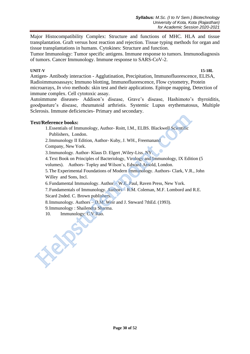Major Histocompatibility Complex: Structure and functions of MHC. HLA and tissue transplantation. Graft versus host reaction and rejection. Tissue typing methods for organ and tissue transplantations in humans. Cytokines: Structure and function.

Tumor Immunology: Tumor specific antigens. Immune response to tumors. Immunodiagnosis of tumors. Cancer Immunology. Immune response to SARS-CoV-2.

#### **UNIT-V 15-18L**

Antigen- Antibody interaction - Agglutination, Precipitation, Immunofluorescence, ELISA, Radioimmunoassays; Immuno blotting, Immunofluorescence, Flow cytometry, Protein microarrays, *In vivo* methods: skin test and their applications. Epitope mapping, Detection of immune complex. Cell cytotoxic assay.

Autoimmune diseases- Addison's disease, Grave's disease, Hashimoto's thyroiditis, goodpasture's disease, rheumatoid arthristis. Systemic Lupus erythematosus, Multiple Sclerosis. Immune deficiencies- Primary and secondary.

## **Text/Reference books:**

1.Essentials of Immunology, Author- Roitt, I.M., ELBS. Blackwell Scientific Publishers, London.

2.Immunology II Edition, Author- Kuby, J. WH., Freemanand

Company, New York.

3.Immunology. Author- Klaus D. Elgert ,Wiley-Liss. NY.

4.Text Book on Principles of Bacteriology, Virology and Immunology, IX Edition (5

volumes). Authors- Topley and Wilson's, Edward Arnold, London.

5.The Experimental Foundations of Modern Immunology. Authors- Clark, V.R., John Willey and Sons, Incl. **Ext/Reference books:**<br>
1. Essentials of Immunology, Author-Roitt, I.M., ELBS. Blackwell Scientific<br>
Publishers, London.<br>
2. Immunology II Edition, Author-Kuby, J. WH., Freemanand<br>
Company, New York.<br>
3. Immunology, Author

6.Fundamental Immunology. Author – W.E. Paul, Raven Press, New York.

7.Fundamentals of Immunology. Authors – R.M. Coleman, M.F. Lombord and R.E. Sicard 2nded. C. Brown publishers.

8.Immunology. Authors – D.M. Weir and J. Steward 7thEd. (1993).

9.Immunology : Shailendra Sharma.

10. Immunology: C.V.Rao.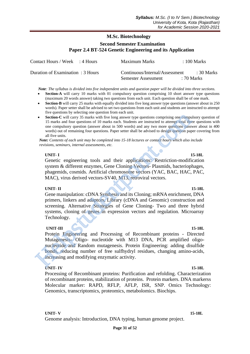## **Second Semester Examination Paper 2.4 BT-524 Genetic Engineering and its Application**

| Contact Hours / Week : 4 Hours    | Maximum Marks                  | $\therefore$ 100 Marks |
|-----------------------------------|--------------------------------|------------------------|
| Duration of Examination : 3 Hours | Continuous/Internal/Assessment | $\div$ 30 Marks        |
|                                   | Semester Assessment            | : 70 Marks             |

 *Note: The syllabus is divided into five independent units and question paper will be divided into three sections.*

- **Section-A** will carry 10 marks with 01 compulsory question comprising 10 short answer type questions (maximum 20 words answer) taking two questions from each unit. Each question shall be of one mark.
- **Section-B** will carry 25 marks with equally divided into five long answer type questions (answer about in 250 words). Paper setter shall be advised to set two questions from each unit and students are instructed to attempt five questions by selecting one question from each unit.
- **Section-C** will carry 35 marks with five long answer type questions comprising one compulsory question of 15 marks and four questions of 10 marks each. Students are instructed to attempt total three questions with one compulsory question (answer about in 500 words) and any two more questions (answer about in 400 words) out of remaining four questions. Paper setter shall be advised to design question paper covering from all five units.

 *Note: Contents of each unit may be completed into 15-18 lectures or contact hours which also include revisions, seminars, internal assessments, etc.*

#### **UNIT- I 15-18L**

Genetic engineering tools and their applications: Restriction-modification system & different enzymes, Gene Cloning Vectors- Plasmids, bacteriophages, phagemids, cosmids. Artificial chromosome vectors (YAC, BAC, HAC, PAC, MAC), virus derived vectors-SV40, M13, retroviral vectors.

#### **UNIT- II 15-18L**

Gene manipulation: cDNA Synthesis and its Cloning; mRNA enrichment, DNA primers, linkers and adaptors, Library (cDNA and Genomic) construction and screening. Alternative Strategies of Gene Cloning- Two and three hybrid systems, cloning of genes in expression vectors and regulation. Microarray Technology. **Section-C** will carry 35 maks with five long answer type questions comprising one compute<br>
15 maks and four questions of 10 maks each. Students are instructed to atteny to the compution (and the compution (and the words)

## **UNIT-III 15-18L**

Protein Engineering and Processing of Recombinant proteins - Directed Mutagenesis- Oligo- nucleotide with M13 DNA, PCR amplified oligonucleotide and Random mutagenesis. Protein Engineering: adding disulfide bonds, reducing number of free sulfhydryl residues, changing amino-acids, increasing and modifying enzymatic activity.

#### **UNIT- IV 15-18L**

Processing of Recombinant proteins: Purification and refolding. Characterization of recombinant proteins, stabilization of proteins. Protein markers. DNA markerss Molecular marker: RAPD, RFLP, AFLP, ISR, SNP. Omics Technology: Genomics, transcriptomics, proteomics, metabolomics. Biochips.

#### **Page 31 of 52**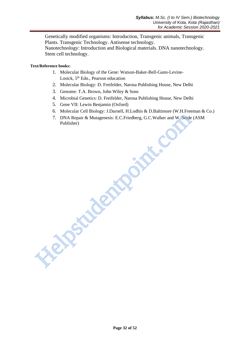Genetically modified organisms: Introduction, Transgenic animals, Transgenic Plants. Transgenic Technology. Antisense technology.

Nanotechnology: Introduction and Biological materials. DNA nanotechnology. Stem cell technology.

**Text/Reference books:**

- 1. Molecular Biology of the Gene: Watson-Baker-Bell-Gann-Levine-Losick, 5<sup>th</sup> Edn., Pearson education
- 2. Molecular Biology: D. Freifelder, Narosa Publishing House, New Delhi
- 3. Genome: T.A. Brown, John Wiley & Sons
- 4. Microbial Genetics: D. Freifelder, Narosa Publishing House, New Delhi
- 5. Gene VII: Lewin Benjamin (Oxford)
- 6. Molecular Cell Biology: J.Darnell, H.Lodhis & D.Baltimore (W.H.Freeman & Co.)
- 7. DNA Repair & Mutagenesis: E.C.Friedberg, G.C.Walker and W. Seide (ASM Publisher) 7. DNA Repair & Mutagenesis: E.C.Friedberg, G.C.Walker and W. Seide<br>Publisher)<br>Publisher<br>Repair & Mutagenesis: E.C.Friedberg, G.C.Walker and W. Seide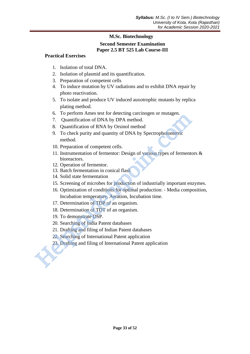## **Second Semester Examination Paper 2.5 BT 525 Lab Course-III**

## **Practical Exercises**

- 1. Isolation of total DNA.
- 2. Isolation of plasmid and its quantification.
- 3. Preparation of competent cells
- 4. To induce mutation by UV radiations and to exhibit DNA repair by photo reactivation.
- 5. To isolate and produce UV induced auxotrophic mutants by replica plating method.
- 6. To perform Ames test for detecting carcinogen or mutagen.
- 7. Quantification of DNA by DPA method.
- 8. Quantification of RNA by Orsinol method
- 9. To check purity and quantity of DNA by Spectrophotometric method.
- 10. Preparation of competent cells.
- 11. Instrumentation of fermentor: Design of various types of fermentors & bioreactors.
- 12. Operation of fermentor.
- 13. Batch fermentation in conical flask
- 14. Solid state fermentation
- 15. Screening of microbes for production of industrially important enzymes.
- 16. Optimization of conditions for optimal production: Media composition, Incubation temperature, Aeration, Incubation time. 17. Durantification of NNA by DPA method.<br>
20. To paraffication of NNA by DPA method.<br>
3. Quantification of NNA by Orsinol method<br>
9. To check purity and quantity of DNA by Spectrophotometric<br>
method.<br>
10. Preparation of c
	- 17. Determination of TDP of an organism.
	- 18. Determination of TDT of an organism.
	- 19. To demonstrate DSP.
	- 20. Searching of India Patent databases
	- 21. Drafting and filing of Indian Patent databases
	- 22. Searching of International Patent application
	- 23. Drafting and filing of International Patent application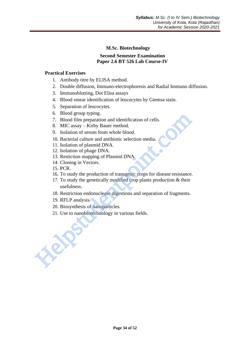## **Second Semester Examination Paper 2.6 BT 526 Lab Course-IV**

## **Practical Exercises**

- 1. Antibody titre by ELISA method.
- 2. Double diffusion, Immuno-electrophoresis and Radial Immuno diffusion.
- 3. Immunoblotting, Dot Elisa assays
- 4. Blood smear identification of leucocytes by Giemsa stain.
- 5. Separation of leucocytes.
- 6. Blood group typing.
- 7. Blood film preparation and identification of cells.
- 8. MIC assay Kirby Bauer method.
- 9. Isolation of serum from whole blood.
- 10. Bacterial culture and antibiotic selection media.
- 11. Isolation of plasmid DNA.
- 12. Isolation of phage DNA.
- 13. Restiction mapping of Plasmid DNA.
- 14. Cloning in Vectors.
- 15. PCR.
- 16. To study the production of transgenic crops for disease resistance.
- 17. To study the genetically modified crop plants production & their usefulness. 7. Blood film preparation and identification of cells.<br>
7. Blood film preparation and identification of cells.<br>
8. MIC assay – Kirby Bauer method.<br>
9. Isolation of plasmid DNA.<br>
10. Bacterial culture and antibiotic selecti
	- 18. Restriction endonuclease digestions and separation of fragments.
	- 19. RFLP analysis
	- 20. Biosynthesis of nanoparticles.
	- 21. Use to nanobiotechnology in various fields.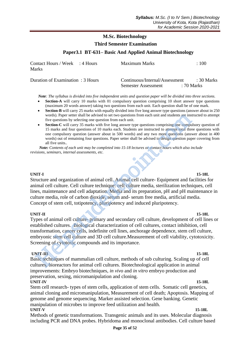#### **Third Semester Examination**

#### **Paper3.1 BT-631– Basic And Applied Animal Biotechnology**

| Contact Hours / Week : 4 Hours<br>Marks | Maximum Marks                                         | $\pm 100$                 |
|-----------------------------------------|-------------------------------------------------------|---------------------------|
| Duration of Examination : 3 Hours       | Continuous/Internal/Assessment<br>Semester Assessment | .: 30 Marks<br>: 70 Marks |

 *Note: The syllabus is divided into five independent units and question paper will be divided into three sections.*

- **Section-A** will carry 10 marks with 01 compulsory question comprising 10 short answer type questions (maximum 20 words answer) taking two questions from each unit. Each question shall be of one mark.
- **Section-B** will carry 25 marks with equally divided into five long answer type questions (answer about in 250) words). Paper setter shall be advised to set two questions from each unit and students are instructed to attempt five questions by selecting one question from each unit.
- **Section-C** will carry 35 marks with five long answer type questions comprising one compulsory question of 15 marks and four questions of 10 marks each. Students are instructed to attempt total three questions with one compulsory question (answer about in 500 words) and any two more questions (answer about in 400 words) out of remaining four questions. Paper setter shall be advised to design question paper covering from all five units.*.*

 *Note: Contents of each unit may be completed into 15-18 lectures or contact hours which also include revisions, seminars, internal assessments, etc.*

#### **UNIT-I 15-18L**

Structure and organization of animal cell. Animal cell culture- Equipment and facilities for animal cell culture. Cell culture technique: cell culture media, sterilization techniques, cell lines, maintenance and cell adaptation. Media and its preparation, pH and pH maintenance in culture media, role of carbon dioxide, serum and- serum free media, artificial media. Concept of stem cell, totipotency, pluripotency and induced pluripotency.

**UNIT-II 15-18L**  Types of animal cell culture- primary and secondary cell culture, development of cell lines or established cultures. Biological characterization of cell cultures, contact inhibition, cell transformation, cancer cells, indefinite cell lines, anchorage dependence, stem cell culture, embryonic stem cell culture and 3D cell culture.Measurement of cell viability, cytotoxicity. Screening of cytotoxic compounds and its importance. words). Paper setter shall be advised to set two questions from each unit and students are instanted for a free states and four questions by selecting one question from each unit.<br>
Section-C will carry 35 marks with five l

#### **UNIT-III 15-18L**

Basic techniques of mammalian cell culture, methods of sub culturing. Scaling up of cell cultures, bioreactors for animal cell cultures. Biotechnological application in animal improvements: Embryo biotechniques, *in vivo* and *in vitro* embryo production and preservation, sexing, micromanipulation and cloning. **UNIT-IV 15-18L**

Stem cell research- types of stem cells, application of stem cells. Somatic cell genetics, animal cloning and micromanipulation, Measurement of cell death; Apoptosis. Mapping of genome and genome sequencing. Marker assisted selection. Gene banking. Genetic manipulation of microbes to improve feed utilization and health. **UNIT-V 15-18L**

Methods of genetic transformations. Transgenic animals and its uses. Molecular diagnosis including PCR and DNA probes. Hybridoma and monoclonal antibodies. Cell culture based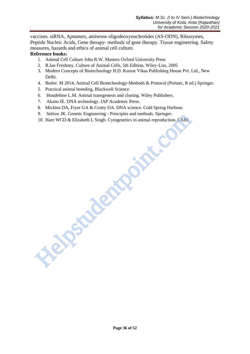vaccines. siRNA, Aptamers, antisense oligodeoxynucleotides (AS-ODN), Ribozymes, Peptide Nucleic Acids, Gene therapy- methods of gene therapy. Tissue engineering. Safety measures, hazards and ethics of animal cell culture.

#### **Reference books:**

- 1. Animal Cell Culture John R.W. Masters Oxford University Press
- 2. R.Ian Freshney, Culture of Animal Cells, 5th Edition, Wiley-Liss, 2005
- 3. Modern Concepts of Biotechnology H.D. Kumar Vikas Publishing House Pvt. Ltd., New Delhi.
- 4. Butler. M 2014, Animal Cell Biotechnology-Methods & Protocol (Portner, R ed.) Springer.
- 5. Practical animal breeding. Blackwell Science.
- 6. Houdebine L.M. Animal transgenesis and cloning. Wiley Publishers.
- 7. Akano IE. DNA technology. IAP Academic Press.
- 8. Micklos DA, Fryer GA & Crotty DA. DNA science. Cold Spring Harbour.
- 9. Setlow JK. Genetic Engineering Principles and methods. Springer.
- 10. Hare WCD & Elizabeth L Singh. Cytogenetics in animal reproduction. CABI S. Seliow Jr. Genetic Engineering - Principles and incidents. Spinger.<br>10. Hare WCD & Elizabeth L Singh. Cytogenetics in animal reproduction. CABI<br>10. Hare WCD & Elizabeth L Singh. Cytogenetics in animal reproduction.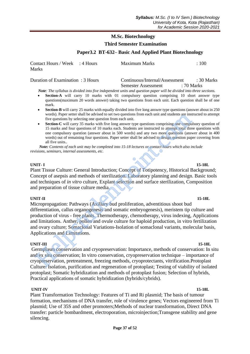#### **Third Semester Examination**

#### **Paper3.2 BT-632– Basic And Applied Plant Biotechnology**

| Contact Hours / Week : 4 Hours | Maximum Marks | $\div 100$ |
|--------------------------------|---------------|------------|
| Marks                          |               |            |

Duration of Examination : 3 Hours Continuous/Internal/Assessment : 30 Marks Semester Assessment : 70 Marks

 *Note: The syllabus is divided into five independent units and question paper will be divided into three sections.*

- **Section-A** will carry 10 marks with 01 compulsory question comprising 10 short answer type questions(maximum 20 words answer) taking two questions from each unit. Each question shall be of one mark.
- **Section-B** will carry 25 marks with equally divided into five long answer type questions (answer about in 250 words). Paper setter shall be advised to set two questions from each unit and students are instructed to attempt five questions by selecting one question from each unit.
- **Section-C** will carry 35 marks with five long answer type questions comprising one compulsory question of 15 marks and four questions of 10 marks each. Students are instructed to attempt total three questions with one compulsory question (answer about in 500 words) and any two more questions (answer about in 400 words) out of remaining four questions. Paper setter shall be advised to design question paper covering from all five units.*.*

 *Note: Contents of each unit may be completed into 15-18 lectures or contact hours which also include revisions, seminars, internal assessments, etc.*

#### **UNIT- I 15-18L**

Plant Tissue Culture: General Introduction; Concept of Totipotency, Historical Background; Concept of asepsis and methods of sterilization. Laboratory planning and design. Basic tools and techniques of *in vitro* culture, Explant selection and surface sterilization, Composition and preparation of tissue culture media.

#### **UNIT-II 15-18L**

Micropropagation: Pathways (Axillary bud proliferation, adventitious shoot bud differentiation, callus organogenesis and somatic embryogenesis), meristem tip culture and production of virus - free plants. Thermotherapy, chemotherapy, virus indexing, Applications and limitations. Anther, pollen and ovule culture for haploid production, in vitro fertilization and ovary culture; Somaclonal Variations-Isolation of somaclonal variants, molecular basis, Applications and Limitations. words). Paper setter shall be advased to set two questions from each unit and students are ms<br>
Frequencies by selecting one question from each unit.<br>
Seterior-C will carry 35 marks with five long answer type questions com

**UNIT-III** 15-18L Germplasm conservation and cryopreservation: Importance, methods of conservation: In situ and ex situ conservation; In vitro conservation, cryopreservation technique – importance of cryopreservation, pretreatment, freezing methods, cryoprotectants, vitrification.Protoplast Culture: Isolation, purification and regeneration of protoplast; Testing of viability of isolated protoplast; Somatic hybridization and methods of protoplast fusion; Selection of hybrids, Practical applications of somatic hybridization (hybrids/cybrids).

#### **UNIT-IV 15-18L**

Plant Transformation Technology: Features of Ti and Ri plasmid; The basis of tumour formation, mechanisms of DNA transfer, role of virulence genes; Vectors engineered from Ti plasmid; Use of 35S and other promoters;Methods of nuclear transformation, Direct DNA transfer: particle bombardment, electroporation, microinjection;Transgene stability and gene silencing.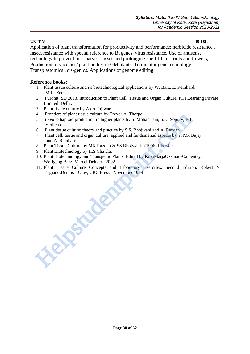## **UNIT-V 15-18L**

Application of plant transformation for productivity and performance: herbicide resistance , insect resistance with special reference to Bt genes, virus resistance, Use of antisense technology to prevent post-harvest losses and prolonging shelf-life of fruits and flowers, Production of vaccines/ plantibodies in GM plants, Terminator gene technology, Transplastomics , cis-genics, Applications of genome editing.

## **Reference books:**

- 1. Plant tissue culture and its biotechnological applications by W. Barz, E. Reinhard, M.H. Zenk
- 2. Purohit, SD 2013, Introduction to Plant Cell, Tissue and Organ Culture, PHI Learning Private Limited, Delhi.
- 3. Plant tissue culture by Akio Fujiwara
- 4. Frontiers of plant tissue culture by Trevor A. Thorpe
- 5. *In vitro* haploid production in higher plants by S. Mohan Jain, S.K. Sopory, R.E. Veilleux
- 6. Plant tissue culture: theory and practice by S.S. Bhojwani and A. Razdan
- 7. Plant cell, tissue and organ culture, applied and fundamental aspects by Y.P.S. Bajaj and A. Reinhard.
- 8. Plant Tissue Culture by MK Razdan & SS Bhojwani (1996) Elsevier
- 9. Plant Biotechnology by H.S.Chawla.

Helpst updand

- 10. Plant Biotechnology and Transgenic Plants, Edited by KirsiMarjaOksman-Caldentey, Wolfgang Barz Marcel Dekker 2002
- 11. Plant Tissue Culture Concepts and Laboratory Exercises, Second Edition, Robert N Trigiano,Dennis J Gray, CRC Press November 1999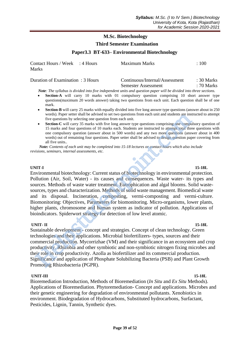## **Third Semester Examination**

#### **Paper3.3 BT-633– Environmental Biotechnology**

| Contact Hours / Week : 4 Hours<br>Marks | Maximum Marks                  | $\cdot$ 100 |
|-----------------------------------------|--------------------------------|-------------|
| Duration of Examination : 3 Hours       | Continuous/Internal/Assessment | : 30 Marks  |

Semester Assessment : 70 Marks  *Note: The syllabus is divided into five independent units and question paper will be divided into three sections.*

- **Section-A** will carry 10 marks with 01 compulsory question comprising 10 short answer type questions(maximum 20 words answer) taking two questions from each unit. Each question shall be of one mark.
- **Section-B** will carry 25 marks with equally divided into five long answer type questions (answer about in 250) words). Paper setter shall be advised to set two questions from each unit and students are instructed to attempt five questions by selecting one question from each unit.
- **Section-C** will carry 35 marks with five long answer type questions comprising one compulsory question of 15 marks and four questions of 10 marks each. Students are instructed to attempt total three questions with one compulsory question (answer about in 500 words) and any two more questions (answer about in 400 words) out of remaining four questions. Paper setter shall be advised to design question paper covering from all five units.*.*

 *Note: Contents of each unit may be completed into 15-18 lectures or contact hours which also include revisions, seminars, internal assessments, etc.*

#### **UNIT-I 15-18L**

Environmental biotechnology: Current status of biotechnology in environmental protection. Pollution (Air, Soil, Water) - its causes and consequences. Waste water- its types and sources. Methods of waste water treatment. Eutrophication and algal blooms. Solid wastesources, types and characterization. Methods of solid waste management. Biomedical waste and its disposal. Incineration, composting, vermi-composting and vermi-culture. Biomonitoring: Objectives, Parameters for biomonitoring. Micro-organisms, lower plants, higher plants, chromosome and human system as indicator of pollution. Applications of bioindicators. Spiderwort strategy for detection of low level atomic. words). Paper setter shall be advased to set two questions from each unit and students are ms<br> **Section-C** will carry 35 marks with five long answer type questions comprising one compulsory<br> **Section-C** will can is matter

#### **UNIT- II** 15-18L

Sustainable development - concept and strategies. Concept of clean technology. Green technologies and their applications. Microbial biofertilizers- types, sources and their commercial production. Mycorrizhae (VM) and their significance in an ecosystem and crop productivity. Rhizobia and other symbiotic and non-symbiotic nitrogen fixing microbes and their role in crop productivity. Azolla as biofertilizer and its commercial production. Significance and application of Phosphate Solubilizing Bacteria (PSB) and Plant Growth Promoting Rhizobacteria (PGPR).

#### **UNIT-III 15-18L**

Bioremediation Introduction, Methods of Bioremediation (*In Situ* and *Ex Situ* Methods). Applications of Bioremediation. Phytoremediation- Concept and applications. Microbes and their genetic engineering for degradation of environmental pollutants. Xenobiotics in environment. Biodegradation of Hydrocarbons, Substituted hydrocarbons, Surfactant, Pesticides, Lignin, Tannin, Synthetic dyes.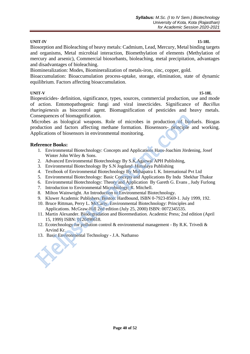#### **UNIT-IV 15-18L**

and disadvantages of bioleaching.

equilibrium. Factors affecting bioaccumulation.

**UNIT-V 15-18L** Biopesticides- definition, significance, types, sources, commercial production, use and mode of action. Entomopathogenic fungi and viral insecticides. Significance of *Bacillus thuringienesis* as biocontrol agent. Biomagnification of pesticides and heavy metals. Consequences of biomagnification.

Biosorption and Bioleaching of heavy metals: Cadmium, Lead, Mercury, Metal binding targets and organisms, Metal microbial interaction, Biomethylation of elements (Methylation of mercury and arsenic), Commercial biosorbants, bioleaching, metal precipitation, advantages

Bioaccumulation: Bioaccumulation process-uptake, storage, elimination, state of dynamic

Microbes as biological weapons. Role of microbes in production of biofuels. Biogas production and factors affecting methane formation. Biosensors- principle and working. Applications of biosensors in environmental monitoring. 000 and the method of the method of the method sampled ware solongical weapons. Role of microbes in production and factors affecting methane formation. Biosensors- principle production and factors affecting methane formati

## **Reference Books:**

- 1. Environmental Biotechnology: Concepts and Applications Hans-Joachim Jördening, Josef Winter John Wiley & Sons.
- 2. Advanced Environmental Biotechnology By S.K.Agarwal APH Publishing,

Biomineralization: Modes, Biomineralization of metals-iron, zinc, copper, gold.

- 3. Environmental Biotechnology By S.N Jogdand Himalaya Publishing
- 4. Textbook of Environmental Biotechnology By Mohapatra I. K. International Pvt Ltd
- 5. Environmental Biotechnology: Basic Concepts and Applications By [Indu Shekhar Thakur](http://www.google.co.in/search?tbo=p&tbm=bks&q=inauthor:%22Indu+Shekhar+Thakur%22)
- 6. Environmental Biotechnology: Theory and Application By Gareth G. Evans , [Judy Furlong](http://www.amazon.com/s/ref=ntt_athr_dp_sr_2?_encoding=UTF8&sort=relevancerank&search-alias=books&ie=UTF8&field-author=Judy%20Furlong)
- 7. Introduction to Environmental Microbiology; R. Mitchell.
- 8. Milton Wainwright. An Introduction to Environmental Biotechnology.
- 9. Kluwer Academic Publishers, Boston. Hardbound, ISBN 0-7923-8569-1. July 1999, 192.
- 10. Bruce Rittman, Perry L. McCarty. Environmental Biotechnology: Principles and Applications. McGraw-Hill 2nd edition (July 25, 2000) ISBN: 0072345535.
- 11. Martin Alexander. Biodegradation and Bioremediation. Academic Press; 2nd edition (April 15, 1999) ISBN: 0120498618.
- 12. Ecotechnology for pollution control & environmental management By R.K. Trivedi & Arvind Kr.
- 13. Basic Environmental Technology J.A. Nathanso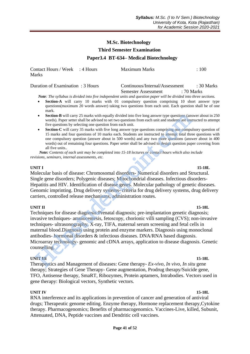#### **Third Semester Examination**

#### **Paper3.4 BT-634– Medical Biotechnology**

Contact Hours / Week : 4 Hours Maximum Marks : 100 Marks

| Duration of Examination: 3 Hours | Continuous/Internal/Assessment |  | : 30 Marks |
|----------------------------------|--------------------------------|--|------------|
|                                  | Semester Assessment            |  | : 70 Marks |

 *Note: The syllabus is divided into five independent units and question paper will be divided into three sections.*

- **Section-A** will carry 10 marks with 01 compulsory question comprising 10 short answer type questions(maximum 20 words answer) taking two questions from each unit. Each question shall be of one mark.
- **Section-B** will carry 25 marks with equally divided into five long answer type questions (answer about in 250 words). Paper setter shall be advised to set two questions from each unit and students are instructed to attempt five questions by selecting one question from each unit.
- **Section-C** will carry 35 marks with five long answer type questions comprising one compulsory question of 15 marks and four questions of 10 marks each. Students are instructed to attempt total three questions with one compulsory question (answer about in 500 words) and any two more questions (answer about in 400 words) out of remaining four questions. Paper setter shall be advised to design question paper covering from all five units.*.*

 *Note: Contents of each unit may be completed into 15-18 lectures or contact hours which also include revisions, seminars, internal assessments, etc.*

#### **UNIT I 15-18L**

Molecular basis of disease: Chromosomal disorders- Numerical disorders and Structural. Single gene disorders; Polygenic diseases; Mitochondrial diseases. Infectious disorders-Hepatitis and HIV. Identification of disease genes. Molecular pathology of genetic diseases. Genomic imprinting. Drug delivery systems- criteria for drug delivery systems, drug delivery carriers, controlled release mechanisms, administration routes.

#### **UNIT II** 15-18L

Techniques for disease diagnosis:Prenatal diagnosis; pre-implantation genetic diagnosis; invasive techniques- amniocentesis, fetoscopy, chorionic villi sampling (CVS); non-invasive techniques- ultrasonography, X-ray, TIFA, maternal serum screening and fetal cells in maternal blood.Diagnosis using protein and enzyme markers. Diagnosis using monoclonal antibodies- hormonal disorders & infectious diseases. DNA/RNA based diagnosis. Microarray technology- genomic and cDNA arrays, application to disease diagnosis. Genetic counselling. **Section B** will carry 25 marks with equally divided into five long answer type questions (same words). Paper setter shall be advised to set two questions from each unit.<br> **Section** the questions by selecting one question

#### **UNIT III** 15-18L

Therapeutics and Management of diseases: Gene therapy- *Ex-vivo, In vivo, In situ* gene therapy; Strategies of Gene Therapy- Gene augmentation, Prodrug therapy/Suicide gene, TFO, Antisense therapy, SmaRT, Ribozymes, Protein aptamers, Intrabodies. Vectors used in gene therapy: Biological vectors, Synthetic vectors.

#### **UNIT IV 15-18L**

RNA interference and its applications in prevention of cancer and generation of antiviral drugs; Therapeutic genome editing. Enzyme therapy, Hormone replacement therapy,Cytokine therapy. Pharmacogenomics; Benefits of pharmacogenomics. Vaccines-Live, killed, Subunit, Attenuated, DNA, Peptide vaccines and Dendritic cell vaccines.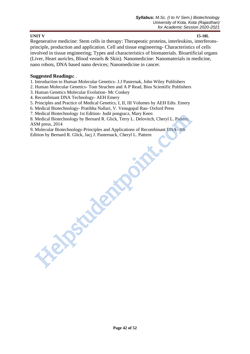## **UNIT V 15-18L**

Regenerative medicine: Stem cells in therapy: Therapeutic proteins, interleukins, interferonsprinciple, production and application. Cell and tissue engineering- Characteristics of cells involved in tissue engineering; Types and characteristics of biomaterials. Bioartificial organs (Liver, Heart auricles, Blood vessels & Skin). Nanomedicine: Nanomaterials in medicine, nano robots, DNA based nano devices; Nanomedicine in cancer.

## **Suggested Readings:** .

1. Introduction to Human Molecular Genetics- J.J Pasternak, John Wiley Publishers

2. Human Molecular Genetics- Tom Strachen and A P Read, Bios Scientific Publishers

3. Human Genetics Molecular Evolution- Mc Conkey

**Help**stadt

4. Recombinant DNA Technology- AEH Emery

5. Principles and Practice of Medical Genetics, I, II, III Volumes by AEH Edts. Emery

6. Medical Biotechnology- Pratibha Nallari, V. Venugopal Rao- Oxford Press

7. Medical Biotechnology 1st Edition- Judit pongracz, Mary Keen

8. Medical Biotechnology by Bernard R. Glick, Terry L. Delovitch, Cheryl L. Pattern. ASM press, 2014

9. Molecular Biotechnology-Principles and Applications of Recombinant DNA- 4th Edition by Bernard R. Glick, Jacj J. Pasternack, Cheryl L. Pattern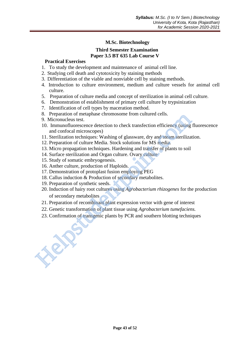## **Third Semester Examination Paper 3.5 BT 635 Lab Course V**

## **Practical Exercises**

- 1. To study the development and maintenance of animal cell line.
- 2. Studying cell death and cytotoxicity by staining methods
- 3. Differentiation of the viable and nonviable cell by staining methods.
- 4. Introduction to culture environment, medium and culture vessels for animal cell culture.
- 5. Preparation of culture media and concept of sterilization in animal cell culture.
- 6. Demonstration of establishment of primary cell culture by trypsinization
- 7. Identification of cell types by maceration method.
- 8. Preparation of metaphase chromosome from cultured cells.
- 9. Micronucleus test.
- 10. Immunofluorescence detection to check transfection efficiency (using fluorescence and confocal microscopes)
- 11. Sterilization techniques: Washing of glassware, dry and steam sterilization.
- 12. Preparation of culture Media. Stock solutions for MS media.
- 13. Micro propagation techniques. Hardening and transfer of plants to soil
- 14. Surface sterilization and Organ culture. Ovary culture
- 15. Study of somatic embryogenesis.
- 16. Anther culture, production of Haploids.
- 17. Demonstration of protoplast fusion employing PEG
- 18. Callus induction & Production of secondary metabolites.
- 19. Preparation of synthetic seeds.
- 20. Induction of hairy root cultures using *Agrobacterium rhizogenes* for the production of secondary metabolites 8. Preparation of metaphase chromosome from citative density.<br>
9. Micronucleus tsst.<br>
10. Immunofluorescence detection to check transfection efficiency (using<br>
10. Immunofluorescence detection to check transfection efficie
	- 21. Preparation of recombinant plant expression vector with gene of interest
	- 22. Genetic transformation of plant tissue using *Agrobacterium tumefaciens.*
	- 23. Confirmation of transgenic plants by PCR and southern blotting techniques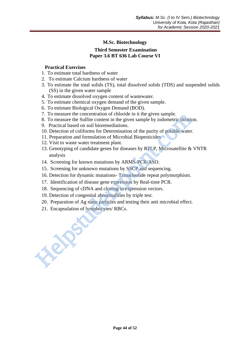## **Third Semester Examination Paper 3.6 BT 636 Lab Course VI**

## **Practical Exercises**

- 1. To estimate total hardness of water
- 2. To estimate Calcium hardness of water
- 3. To estimate the total solids (TS), total dissolved solids (TDS) and suspended solids (SS) in the given water sample
- 4. To estimate dissolved oxygen content of wastewater.
- 5. To estimate chemical oxygen demand of the given sample.
- 6. To estimate Biological Oxygen Demand (BOD).
- 7. To measure the concentration of chloride in it the given sample.
- 8. To measure the Sulfite content in the given sample by iodometric titration.
- 9. Practical based on soil bioremediations.
- 10. Detection of coliforms for Determination of the purity of potable water.
- 11. Preparation and formulation of Microbial Biopesticides
- 12. Visit to waste water treatment plant.
- 13. Genotyping of candidate genes for diseases by RFLP, Microsatellite & VNTR analysis
- 14. Screening for known mutations by ARMS-PCR/ASO.
- 15. Screening for unknown mutations by SSCP and sequencing.
- 16. Detection for dynamic mutations- Trinucleotide repeat polymorphism.
- 17. Identification of disease gene expression by Real-time PCR.
- 18. Sequencing of cDNA and cloning in expression vectors.
- 19. Detection of congenital abnormalities by triple test.
- 20. Preparation of Ag nano particles and testing their anti microbial effect.
- 21. Encapsulation of lymphocytes/ RBCs.

Helpstudentpoint.com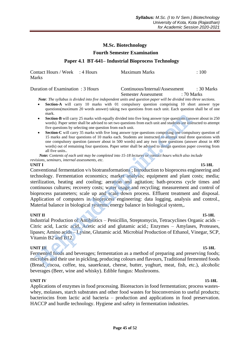#### **Fourth Semester Examination**

#### **Paper 4.1 BT-641– Industrial Bioprocess Technology**

Contact Hours / Week : 4 Hours Maximum Marks : 100 Marks

## Duration of Examination : 3 Hours Continuous/Internal/Assessment : 30 Marks Semester Assessment : 70 Marks

 *Note: The syllabus is divided into five independent units and question paper will be divided into three sections.*

- **Section-A** will carry 10 marks with 01 compulsory question comprising 10 short answer type questions(maximum 20 words answer) taking two questions from each unit. Each question shall be of one mark.
- **Section-B** will carry 25 marks with equally divided into five long answer type questions (answer about in 250 words). Paper setter shall be advised to set two questions from each unit and students are instructed to attempt five questions by selecting one question from each unit.
- **Section-C** will carry 35 marks with five long answer type questions comprising one compulsory question of 15 marks and four questions of 10 marks each. Students are instructed to attempt total three questions with one compulsory question (answer about in 500 words) and any two more questions (answer about in 400 words) out of remaining four questions. Paper setter shall be advised to design question paper covering from all five units.*.*

 *Note: Contents of each unit may be completed into 15-18 lectures or contact hours which also include revisions, seminars, internal assessments, etc.*

#### **UNIT I** 15-18L

Conventional fermentation v/s biotransformations ; Introduction to bioprocess engineering and technology. Fermentation economics; market analysis; equipment and plant costs; media; sterilization, heating and cooling; aeration and agitation; bath-process cycle times and continuous cultures; recovery costs; water usage and recycling; measurement and control of bioprocess parameters; scale up and scale down process. Effluent treatment and disposal. Application of computers in bioprocess engineering: data logging, analysis and control., Material balance in biological systems, energy balance in biological system,. **EXECTS** The set stand the advised on the two questions (max.<br> **Section-B** will carry 25 marks with equally divided into five long answer type questions (an words). Paper setter shall be advised to set two questions by se

#### **UNIT II** 15-18L

Industrial Production of Antibiotics – Penicillin, Streptomycin, Tetracyclines Organic acids – Citric acid, Lactic acid, Acetic acid and glutamic acid.; Enzymes – Amylases, Proteases, lipases; Amino acids – Lysine, Glutamic acid. Microbial Production of Ethanol, Vinegar, SCP, Vitamin B2 and B12.

#### **UNIT III** 15-18L

Fermented foods and beverages; fermentation as a method of preparing and preserving foods; microbes and their use in pickling, producing colours and flavours, Traditional fermented foods (Bread, cocoa, coffee, tea, sauerkraut, cheese, butter, yoghurt, meat, fish, etc.), alcoholic beverages (Beer, wine and whisky). Edible fungus: Mushrooms.

#### **UNIT IV 15-18L**

Applications of enzymes in food processing. Bioreactors in food fermentation; process wasteswhey, molasses, starch substrates and other food wastes for bioconversion to useful products; bacteriocins from lactic acid bacteria – production and applications in food preservation. HACCP and hurdle technology. Hygiene and safety in fermentation industries.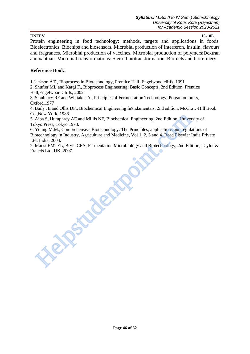#### **UNIT V 15-18L**

Protein engineering in food technology: methods, targets and applications in foods. Bioelectronics: Biochips and biosensors. Microbial production of Interferon, Insulin, flavours and fragrances. Microbial production of vaccines. Microbial production of polymers:Dextran and xanthan. Microbial transformations: Steroid biotransformation. Biofuels and biorefinery.

## **Reference Book:**

1.Jackson AT., Bioprocess in Biotechnology, Prentice Hall, Engelwood cliffs, 1991

2. Shufler ML and Kargi F., Bioprocess Engineering: Basic Concepts, 2nd Edition, Prentice Hall,Engelwood Cliffs, 2002.

3. Stanburry RF and Whitaker A., Principles of Fermentation Technology, Pergamon press, Oxford,1977

4. Baily JE and Ollis DF., Biochemical Engineering fu8ndamentals, 2nd edition, McGraw‐Hill Book Co.,New York, 1986.

5. Aiba S, Humphrey AE and Millis NF, Biochemical Engineering, 2nd Edition, University of Tokyo.Press, Tokyo 1973.

6. Young M.M., Comprehensive Biotechnology: The Principles, applications and regulations of Biotechnology in Industry, Agriculture and Medicine, Vol 1, 2, 3 and 4. Reed Elsevier India Private Ltd, India, 2004. Statew fork, 1986.<br>Aiba S, Humphrey AE and Millis NF, Biochemical Engineering, 2nd Edition, University Nough MAI. Comprehensive Biotechnology: The Principles, applications and regulators are ordered to the Main 2004.<br>Howev

7. Mansi EMTEL, Bryle CFA, Fermentation Microbiology and Biotechnology, 2nd Edition, Taylor & Francis Ltd. UK, 2007.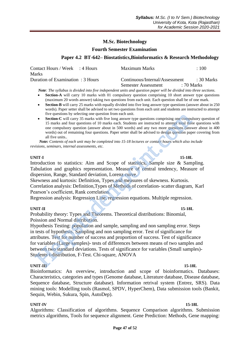#### **Fourth Semester Examination**

## **Paper 4.2 BT-642– Biostatistics,Bioinformatics & Research Methodology**

| Contact Hours / Week : 4 Hours    | Maximum Marks                  | $\cdot$ 100     |
|-----------------------------------|--------------------------------|-----------------|
| Marks                             |                                |                 |
| Duration of Examination : 3 Hours | Continuous/Internal/Assessment | $\div$ 30 Marks |
|                                   | Semester Assessment            | : 70 Marks      |

 *Note: The syllabus is divided into five independent units and question paper will be divided into three sections.*

- **Section-A** will carry 10 marks with 01 compulsory question comprising 10 short answer type questions (maximum 20 words answer) taking two questions from each unit. Each question shall be of one mark.
- **Section-B** will carry 25 marks with equally divided into five long answer type questions (answer about in 250 words). Paper setter shall be advised to set two questions from each unit and students are instructed to attempt five questions by selecting one question from each unit.
- Section-C will carry 35 marks with five long answer type questions comprising one compulsory question of 15 marks and four questions of 10 marks each. Students are instructed to attempt total three questions with one compulsory question (answer about in 500 words) and any two more questions (answer about in 400 words) out of remaining four questions. Paper setter shall be advised to design question paper covering from all five units.*.*

 *Note: Contents of each unit may be completed into 15-18 lectures or contact hours which also include revisions, seminars, internal assessments, etc.*

#### **UNIT-I 15-18L**

Introduction to statistics: Aim and Scope of statistics, Sample size & Sampling. Tabulation and graphics representation. Measure of central tendency, Measure of dispersion, Range, Standard deviation, Lorenz curve.

Skewness and kurtosis: Definition, Types and measures of skewness. Kurtosis. Correlation analysis: Definition,Types of Methods of correlation-scatter diagram, Karl Pearson's coefficient, Rank correlation.

Regression analysis: Regression Line, regression equations. Multiple regression.

#### **UNIT-II 15-18L**

Probability theory: Types and Theorems. Theoretical distributions: Binomial, Poission and Normal distribution.

Hypothesis Testing: population and sample, sampling and non sampling error. Steps in tests of hypothesis. Sampling and non sampling error. Test of significance for attributes. Test for number of success and proportion of success. Test of significance for variables (Large samples)- tests of differences between means of two samples and between two standard deviations. Tests of significance for variables (Small samples)- Students t-distribution, F-Test. Chi-square, ANOVA The questions by seection the and four questions computed to the Section-C will carry 35 marks such five long answer type questions comprising one computes the strack and four questions of 10 marks each. Stades the assent

#### **UNIT-III 15-18L**

Bioinformatics: An overview, introduction and scope of bioinformatics. Databases: Characteristics, categories and types (Genome database, Literature database, Disease database, Sequence database, Structure database). Information retrival system (Entrez, SRS). Data mining tools: Modelling tools (Rasmol, SPDV, HyperChem), Data submission tools (Bankit, Sequin, Webin, Sukura, Spin, AutoDep).

#### **UNIT-IV 15-18L**

Algorithms: Classification of algorithms. Sequence Comparison algorithms. Submission metrics algorithms, Tools for sequence alignment. Gene Prediction: Methods, Gene mapping: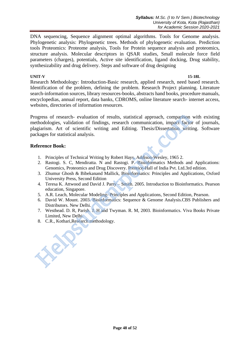DNA sequencing, Sequence alignment optimal algorithms. Tools for Genome analysis. Phylogenetic analysis: Phylogenetic trees. Methods of phylogenetic evaluation. Prediction tools Proteomics: Proteome analysis, Tools for Protein sequence analysis and proteomics, structure analysis. Molecular descriptors in QSAR studies, Small molecule force field parameters (charges), potentials, Active site identification, ligand docking, Drug stability, synthesizability and drug delivery. Steps and software of drug designing

#### **UNIT-V 15-18L**

Research Methodology: Introduction-Basic research, applied research, need based research. Identification of the problem, defining the problem. Research Project planning. Literature search-information sources, library resources-books, abstracts hand books, procedure manuals, encyclopedias, annual report, data banks, CDROMS, online literature search- internet access, websites, directories of information resources.

Progress of research- evaluation of results, statistical approach, comparison with existing methodologies, validation of findings, research communication, impact factor of journals, plagiarism. Art of scientific writing and Editing. Thesis/Dissertation writing. Software packages for statistical analysis. ogress of research- evaluation of results, statistical approach, comparison<br>encologies, validation of findings, research communication, impact facto<br>enception. Art of scientific writing and Editing. Thesis/Dissertation wri

## **Reference Book:**

- 1. Principles of Technical Writing by Robert Hays. Addison-Wesley, 1965 2.
- 2. Rastogi. S. C, Mendiratta. N and Rastogi. P. Bioinformatics Methods and Applications: Genomics, Proteomics and Drug Discovery. Prentice-Hall of India Pvt. Ltd.3rd edition.
- 3. Zhumur Ghosh & Bibekanand Mallick, Bioinformatics: Principles and Applications, Oxford University Press, Second Edition
- 4. Teresa K. Attwood and David J. Parry Smith. 2005. Introduction to Bioinformatics. Pearson education, Singapore.
- 5. A.R. Leach, Molecular Modeling- Principles and Applications, Second Edition, Pearson.
- 6. David W. Mount. 2003. Bioinformatics: Sequence & Genome Analysis.CBS Publishers and Distributors. New Delhi.
- 7. Westhead. D. R, Parish. J. H and Twyman. R. M, 2003. Bioinformatics. Viva Books Private Limited, New Delhi.
- 8. C.R., Kothari,Research methodology.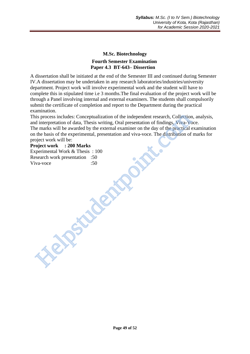## **M.Sc. Biotechnology Fourth Semester Examination Paper 4.3 BT-643– Dissertion**

A dissertation shall be initiated at the end of the Semester III and continued during Semester IV.A dissertation may be undertaken in any research laboratories/industries/university department. Project work will involve experimental work and the student will have to complete this in stipulated time i.e 3 months.The final evaluation of the project work will be through a Panel involving internal and external examiners. The students shall compulsorily submit the certificate of completion and report to the Department during the practical examination.

This process includes: Conceptualization of the independent research, Collection, analysis, and interpretation of data, Thesis writing, Oral presentation of findings, Viva-Voce. The marks will be awarded by the external examiner on the day of the practical examination on the basis of the experimental, presentation and viva-voce. The distribution of marks for project work will be: is process includes: Conceptualization of the independent research, Collection<br>dimerpretation of data, Thesis writing, Oral presentation of findings, Viva-Vocal<br>enematis will be external external examiner on the day of the

## **Project work : 200 Marks**

Experimental Work & Thesis : 100 Research work presentation :50 Viva-voce :50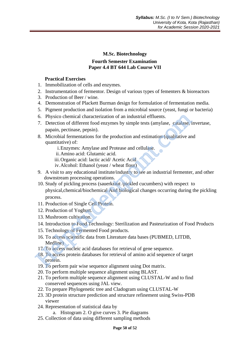## **M.Sc. Biotechnology Fourth Semester Examination Paper 4.4 BT 644 Lab Course VII**

## **Practical Exercises**

- 1. Immobilization of cells and enzymes.
- 2. Instrumentation of fermentor. Design of various types of fementers & bioreactors
- 3. Production of Beer / wine.
- 4. Demonstration of Plackett Burman design for formulation of fermentation media.
- 5. Pigment production and isolation from a microbial source (yeast, fungi or bacteria)
- 6. Physico chemical characterization of an industrial effluents.
- 7. Detection of different food enzymes by simple tests (amylase, catalase, invertase, papain, pectinase, pepsin).
- 8. Microbial fermentations for the production and estimation (qualitative and quantitative) of:
	- i.Enzymes: Amylase and Protease and cellulase.
	- ii.Amino acid: Glutamic acid.
	- iii.Organic acid: lactic acid/ Acetic Acid
	- iv.Alcohol: Ethanol (yeast / wheat flour)
- 9. A visit to any educational institute/industry to see an industrial fermenter, and other downstream processing operations.
- 10. Study of pickling process (sauerkraut /pickled cucumbers) with respect to physical,chemical/biochemical And biological changes occurring during the pickling process. 6. Physico chemical characterization of an industrial effluents.<br>
7. Detection of different food enzymes by simple tests (amylase, catalase, in papain, pertinase, pepsin).<br>
8. Microbial fermentations for the production and
	- 11. Production of Single Cell Protein.
	- 12. Production of Yoghurt.
	- 13. Mushroom cultivation.
	- 14. Introduction to Food Technology: Sterilization and Pasteurization of Food Products
	- 15. Technology of Fermented Food products.
	- 16. To access scientific data from Literature data bases (PUBMED, LITDB, Medline)
	- 17. To access nucleic acid databases for retrieval of gene sequence.
- 18. To access protein databases for retrieval of amino acid sequence of target protein.
- 19. To perform pair wise sequence alignment using Dot matrix.
- 20. To perform multiple sequence alignment using BLAST.
- 21. To perform multiple sequence alignment using CLUSTAL-W and to find conserved sequences using JAL view.
- 22. To prepare Phylogenetic tree and Cladogram using CLUSTAL-W
- 23. 3D protein structure prediction and structure refinement using Swiss-PDB viewer
- 24. Representation of statistical data by
	- a. Histogram 2. O give curves 3. Pie diagrams
- 25. Collection of data using different sampling methods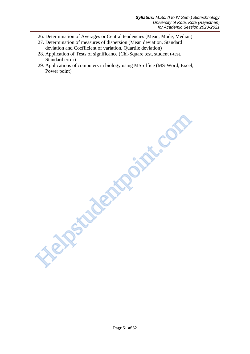- 26. Determination of Averages or Central tendencies (Mean, Mode, Median)
- 27. Determination of measures of dispersion (Mean deviation, Standard deviation and Coefficient of variation, Quartile deviation)
- 28. Application of Tests of significance (Chi-Square test, student t-test, Standard error)
- 29. Applications of computers in biology using MS-office (MS-Word, Excel, Power point)

**Helpstudentpoint.com**